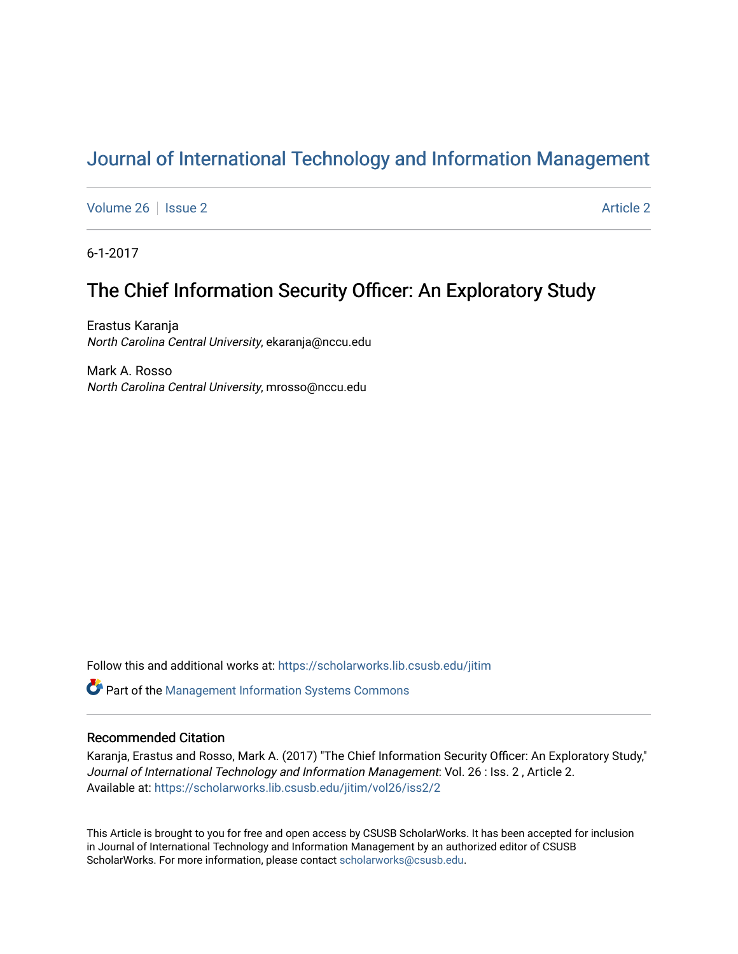# [Journal of International Technology and Information Management](https://scholarworks.lib.csusb.edu/jitim)

[Volume 26](https://scholarworks.lib.csusb.edu/jitim/vol26) | [Issue 2](https://scholarworks.lib.csusb.edu/jitim/vol26/iss2) [Article 2](https://scholarworks.lib.csusb.edu/jitim/vol26/iss2/2) Article 2 Article 2 Article 2 Article 2 Article 2 Article 2 Article 2 Article 2

6-1-2017

# The Chief Information Security Officer: An Exploratory Study

Erastus Karanja North Carolina Central University, ekaranja@nccu.edu

Mark A. Rosso North Carolina Central University, mrosso@nccu.edu

Follow this and additional works at: [https://scholarworks.lib.csusb.edu/jitim](https://scholarworks.lib.csusb.edu/jitim?utm_source=scholarworks.lib.csusb.edu%2Fjitim%2Fvol26%2Fiss2%2F2&utm_medium=PDF&utm_campaign=PDFCoverPages) 

**C** Part of the Management Information Systems Commons

#### Recommended Citation

Karanja, Erastus and Rosso, Mark A. (2017) "The Chief Information Security Officer: An Exploratory Study," Journal of International Technology and Information Management: Vol. 26 : Iss. 2 , Article 2. Available at: [https://scholarworks.lib.csusb.edu/jitim/vol26/iss2/2](https://scholarworks.lib.csusb.edu/jitim/vol26/iss2/2?utm_source=scholarworks.lib.csusb.edu%2Fjitim%2Fvol26%2Fiss2%2F2&utm_medium=PDF&utm_campaign=PDFCoverPages) 

This Article is brought to you for free and open access by CSUSB ScholarWorks. It has been accepted for inclusion in Journal of International Technology and Information Management by an authorized editor of CSUSB ScholarWorks. For more information, please contact [scholarworks@csusb.edu.](mailto:scholarworks@csusb.edu)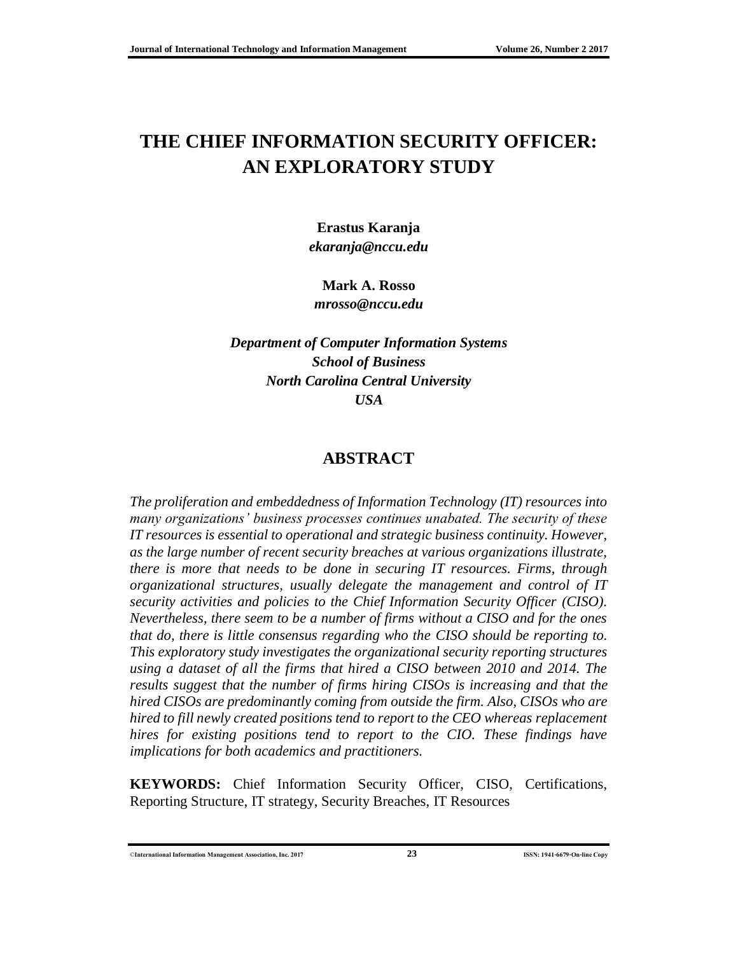# **THE CHIEF INFORMATION SECURITY OFFICER: AN EXPLORATORY STUDY**

**Erastus Karanja** *ekaranja@nccu.edu*

**Mark A. Rosso** *mrosso@nccu.edu*

*Department of Computer Information Systems School of Business North Carolina Central University USA*

#### **ABSTRACT**

*The proliferation and embeddedness of Information Technology (IT) resources into many organizations' business processes continues unabated. The security of these IT resources is essential to operational and strategic business continuity. However, as the large number of recent security breaches at various organizations illustrate, there is more that needs to be done in securing IT resources. Firms, through organizational structures, usually delegate the management and control of IT security activities and policies to the Chief Information Security Officer (CISO). Nevertheless, there seem to be a number of firms without a CISO and for the ones that do, there is little consensus regarding who the CISO should be reporting to. This exploratory study investigates the organizational security reporting structures using a dataset of all the firms that hired a CISO between 2010 and 2014. The results suggest that the number of firms hiring CISOs is increasing and that the hired CISOs are predominantly coming from outside the firm. Also, CISOs who are hired to fill newly created positions tend to report to the CEO whereas replacement hires for existing positions tend to report to the CIO. These findings have implications for both academics and practitioners.*

**KEYWORDS:** Chief Information Security Officer, CISO, Certifications, Reporting Structure, IT strategy, Security Breaches, IT Resources

©**International Information Management Association, Inc. 2017 23 ISSN: 1941-6679-On-line Copy**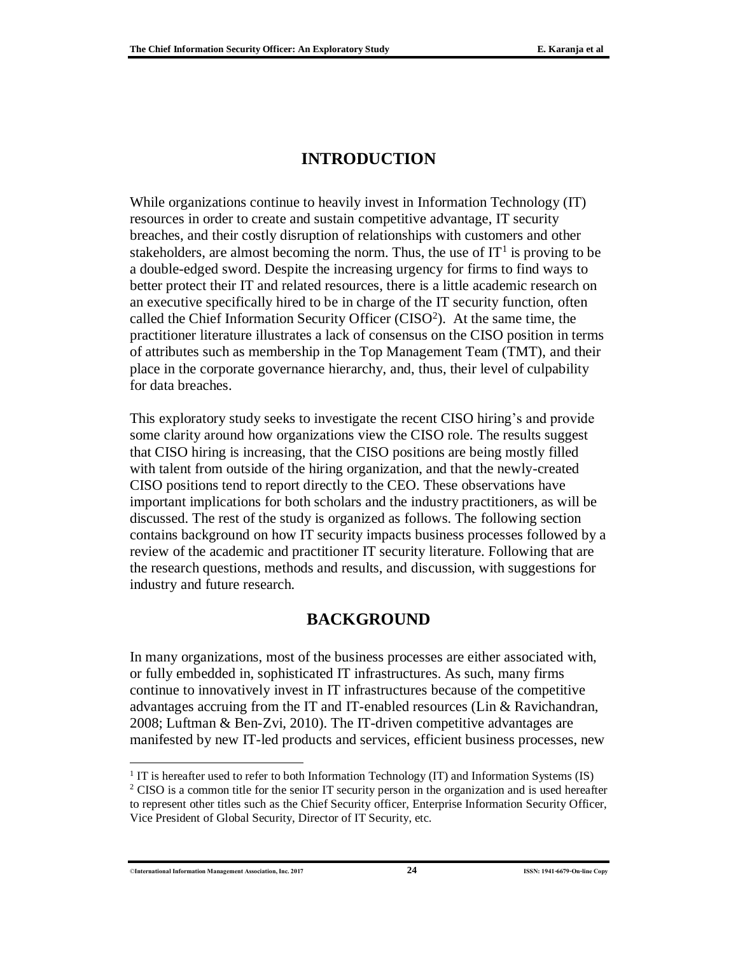## **INTRODUCTION**

While organizations continue to heavily invest in Information Technology (IT) resources in order to create and sustain competitive advantage, IT security breaches, and their costly disruption of relationships with customers and other stakeholders, are almost becoming the norm. Thus, the use of  $IT<sup>1</sup>$  is proving to be a double-edged sword. Despite the increasing urgency for firms to find ways to better protect their IT and related resources, there is a little academic research on an executive specifically hired to be in charge of the IT security function, often called the Chief Information Security Officer (CISO<sup>2</sup>). At the same time, the practitioner literature illustrates a lack of consensus on the CISO position in terms of attributes such as membership in the Top Management Team (TMT), and their place in the corporate governance hierarchy, and, thus, their level of culpability for data breaches.

This exploratory study seeks to investigate the recent CISO hiring's and provide some clarity around how organizations view the CISO role. The results suggest that CISO hiring is increasing, that the CISO positions are being mostly filled with talent from outside of the hiring organization, and that the newly-created CISO positions tend to report directly to the CEO. These observations have important implications for both scholars and the industry practitioners, as will be discussed. The rest of the study is organized as follows. The following section contains background on how IT security impacts business processes followed by a review of the academic and practitioner IT security literature. Following that are the research questions, methods and results, and discussion, with suggestions for industry and future research.

### **BACKGROUND**

In many organizations, most of the business processes are either associated with, or fully embedded in, sophisticated IT infrastructures. As such, many firms continue to innovatively invest in IT infrastructures because of the competitive advantages accruing from the IT and IT-enabled resources (Lin & Ravichandran, 2008; Luftman & Ben-Zvi, 2010). The IT-driven competitive advantages are manifested by new IT-led products and services, efficient business processes, new

©**International Information Management Association, Inc. 2017 24 ISSN: 1941-6679-On-line Copy**

 $\overline{a}$ 

<sup>&</sup>lt;sup>1</sup> IT is hereafter used to refer to both Information Technology (IT) and Information Systems (IS) <sup>2</sup> CISO is a common title for the senior IT security person in the organization and is used hereafter to represent other titles such as the Chief Security officer, Enterprise Information Security Officer, Vice President of Global Security, Director of IT Security, etc.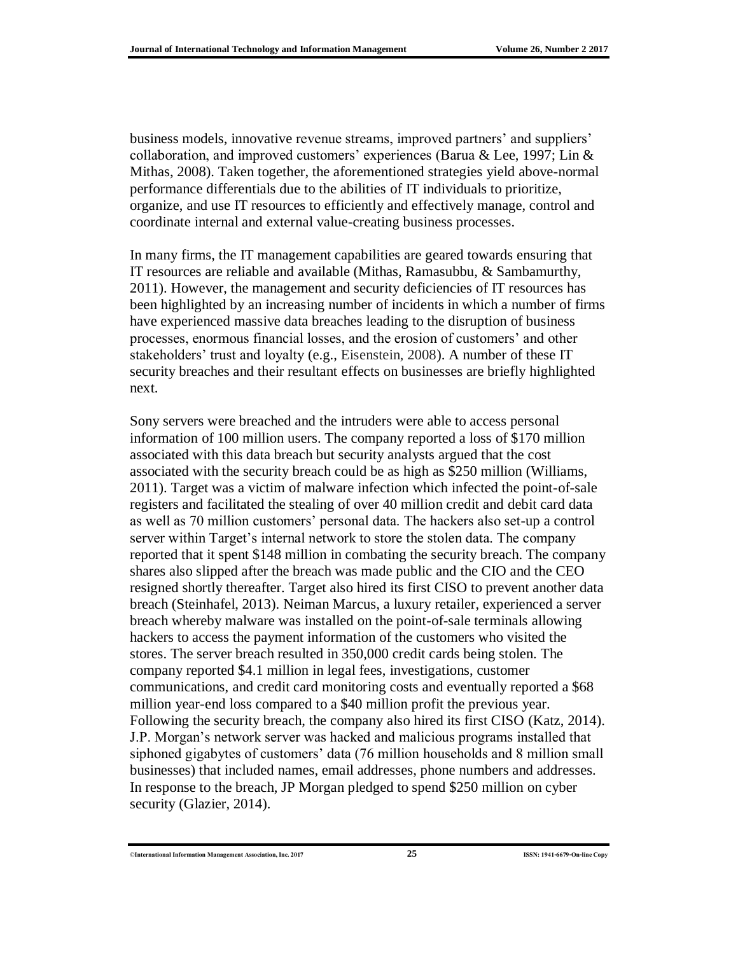business models, innovative revenue streams, improved partners' and suppliers' collaboration, and improved customers' experiences (Barua & Lee, 1997; Lin & Mithas, 2008). Taken together, the aforementioned strategies yield above-normal performance differentials due to the abilities of IT individuals to prioritize, organize, and use IT resources to efficiently and effectively manage, control and coordinate internal and external value-creating business processes.

In many firms, the IT management capabilities are geared towards ensuring that IT resources are reliable and available (Mithas, Ramasubbu, & Sambamurthy, 2011). However, the management and security deficiencies of IT resources has been highlighted by an increasing number of incidents in which a number of firms have experienced massive data breaches leading to the disruption of business processes, enormous financial losses, and the erosion of customers' and other stakeholders' trust and loyalty (e.g., Eisenstein, 2008). A number of these IT security breaches and their resultant effects on businesses are briefly highlighted next.

Sony servers were breached and the intruders were able to access personal information of 100 million users. The company reported a loss of \$170 million associated with this data breach but security analysts argued that the cost associated with the security breach could be as high as \$250 million (Williams, 2011). Target was a victim of malware infection which infected the point-of-sale registers and facilitated the stealing of over 40 million credit and debit card data as well as 70 million customers' personal data. The hackers also set-up a control server within Target's internal network to store the stolen data. The company reported that it spent \$148 million in combating the security breach. The company shares also slipped after the breach was made public and the CIO and the CEO resigned shortly thereafter. Target also hired its first CISO to prevent another data breach (Steinhafel, 2013). Neiman Marcus, a luxury retailer, experienced a server breach whereby malware was installed on the point-of-sale terminals allowing hackers to access the payment information of the customers who visited the stores. The server breach resulted in 350,000 credit cards being stolen. The company reported \$4.1 million in legal fees, investigations, customer communications, and credit card monitoring costs and eventually reported a \$68 million year-end loss compared to a \$40 million profit the previous year. Following the security breach, the company also hired its first CISO (Katz, 2014). J.P. Morgan's network server was hacked and malicious programs installed that siphoned gigabytes of customers' data (76 million households and 8 million small businesses) that included names, email addresses, phone numbers and addresses. In response to the breach, JP Morgan pledged to spend \$250 million on cyber security (Glazier, 2014).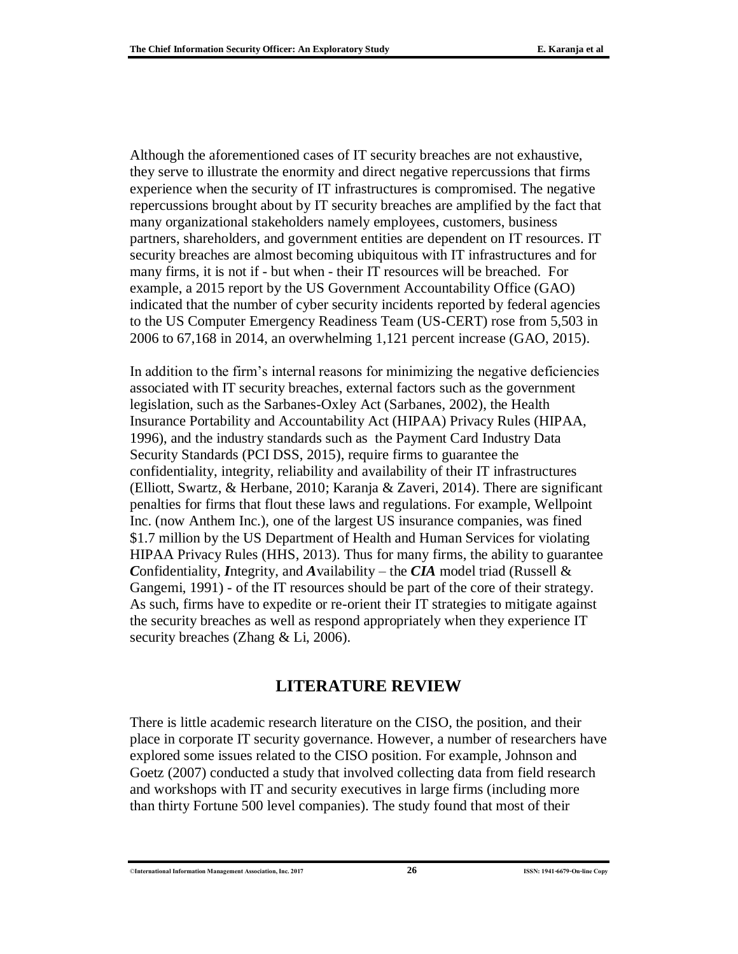Although the aforementioned cases of IT security breaches are not exhaustive, they serve to illustrate the enormity and direct negative repercussions that firms experience when the security of IT infrastructures is compromised. The negative repercussions brought about by IT security breaches are amplified by the fact that many organizational stakeholders namely employees, customers, business partners, shareholders, and government entities are dependent on IT resources. IT security breaches are almost becoming ubiquitous with IT infrastructures and for many firms, it is not if - but when - their IT resources will be breached. For example, a 2015 report by the US Government Accountability Office (GAO) indicated that the number of cyber security incidents reported by federal agencies to the US Computer Emergency Readiness Team (US-CERT) rose from 5,503 in 2006 to 67,168 in 2014, an overwhelming 1,121 percent increase (GAO, 2015).

In addition to the firm's internal reasons for minimizing the negative deficiencies associated with IT security breaches, external factors such as the government legislation, such as the Sarbanes-Oxley Act (Sarbanes, 2002), the Health Insurance Portability and Accountability Act (HIPAA) Privacy Rules (HIPAA, 1996), and the industry standards such as the Payment Card Industry Data Security Standards (PCI DSS, 2015), require firms to guarantee the confidentiality, integrity, reliability and availability of their IT infrastructures (Elliott, Swartz, & Herbane, 2010; Karanja & Zaveri, 2014). There are significant penalties for firms that flout these laws and regulations. For example, Wellpoint Inc. (now Anthem Inc.), one of the largest US insurance companies, was fined \$1.7 million by the US Department of Health and Human Services for violating HIPAA Privacy Rules (HHS, 2013). Thus for many firms, the ability to guarantee *C*onfidentiality, *I*ntegrity, and *A*vailability – the *CIA* model triad (Russell & Gangemi, 1991) - of the IT resources should be part of the core of their strategy. As such, firms have to expedite or re-orient their IT strategies to mitigate against the security breaches as well as respond appropriately when they experience IT security breaches (Zhang & Li, 2006).

### **LITERATURE REVIEW**

There is little academic research literature on the CISO, the position, and their place in corporate IT security governance. However, a number of researchers have explored some issues related to the CISO position. For example, Johnson and Goetz (2007) conducted a study that involved collecting data from field research and workshops with IT and security executives in large firms (including more than thirty Fortune 500 level companies). The study found that most of their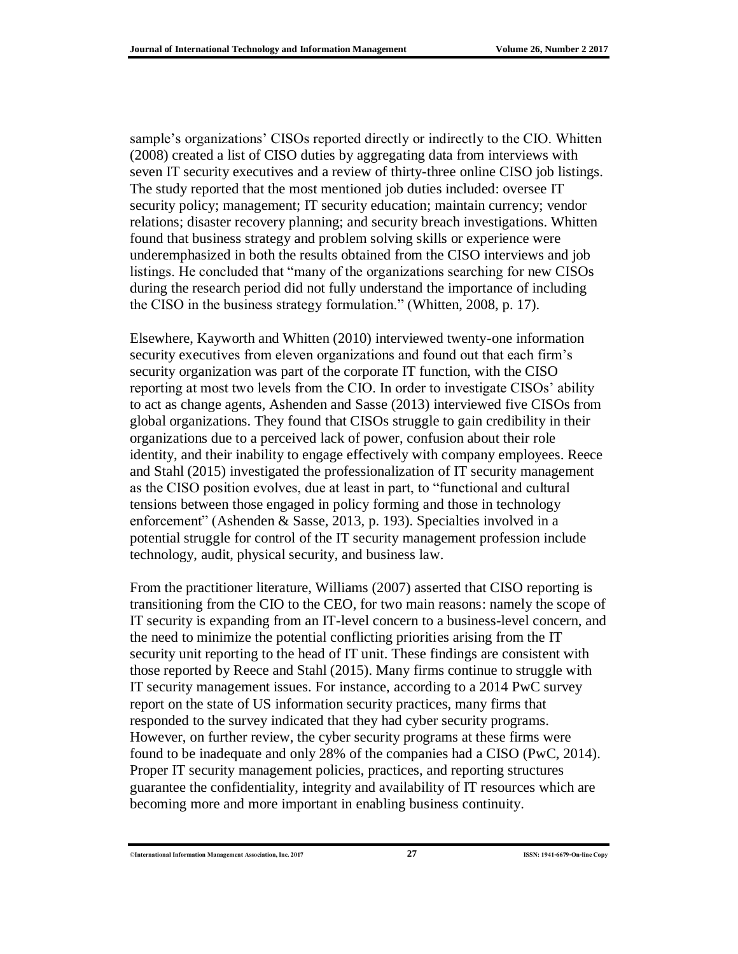sample's organizations' CISOs reported directly or indirectly to the CIO. Whitten (2008) created a list of CISO duties by aggregating data from interviews with seven IT security executives and a review of thirty-three online CISO job listings. The study reported that the most mentioned job duties included: oversee IT security policy; management; IT security education; maintain currency; vendor relations; disaster recovery planning; and security breach investigations. Whitten found that business strategy and problem solving skills or experience were underemphasized in both the results obtained from the CISO interviews and job listings. He concluded that "many of the organizations searching for new CISOs during the research period did not fully understand the importance of including the CISO in the business strategy formulation." (Whitten, 2008, p. 17).

Elsewhere, Kayworth and Whitten (2010) interviewed twenty-one information security executives from eleven organizations and found out that each firm's security organization was part of the corporate IT function, with the CISO reporting at most two levels from the CIO. In order to investigate CISOs' ability to act as change agents, Ashenden and Sasse (2013) interviewed five CISOs from global organizations. They found that CISOs struggle to gain credibility in their organizations due to a perceived lack of power, confusion about their role identity, and their inability to engage effectively with company employees. Reece and Stahl (2015) investigated the professionalization of IT security management as the CISO position evolves, due at least in part, to "functional and cultural tensions between those engaged in policy forming and those in technology enforcement" (Ashenden & Sasse, 2013, p. 193). Specialties involved in a potential struggle for control of the IT security management profession include technology, audit, physical security, and business law.

From the practitioner literature, Williams (2007) asserted that CISO reporting is transitioning from the CIO to the CEO, for two main reasons: namely the scope of IT security is expanding from an IT-level concern to a business-level concern, and the need to minimize the potential conflicting priorities arising from the IT security unit reporting to the head of IT unit. These findings are consistent with those reported by Reece and Stahl (2015). Many firms continue to struggle with IT security management issues. For instance, according to a 2014 PwC survey report on the state of US information security practices, many firms that responded to the survey indicated that they had cyber security programs. However, on further review, the cyber security programs at these firms were found to be inadequate and only 28% of the companies had a CISO (PwC, 2014). Proper IT security management policies, practices, and reporting structures guarantee the confidentiality, integrity and availability of IT resources which are becoming more and more important in enabling business continuity.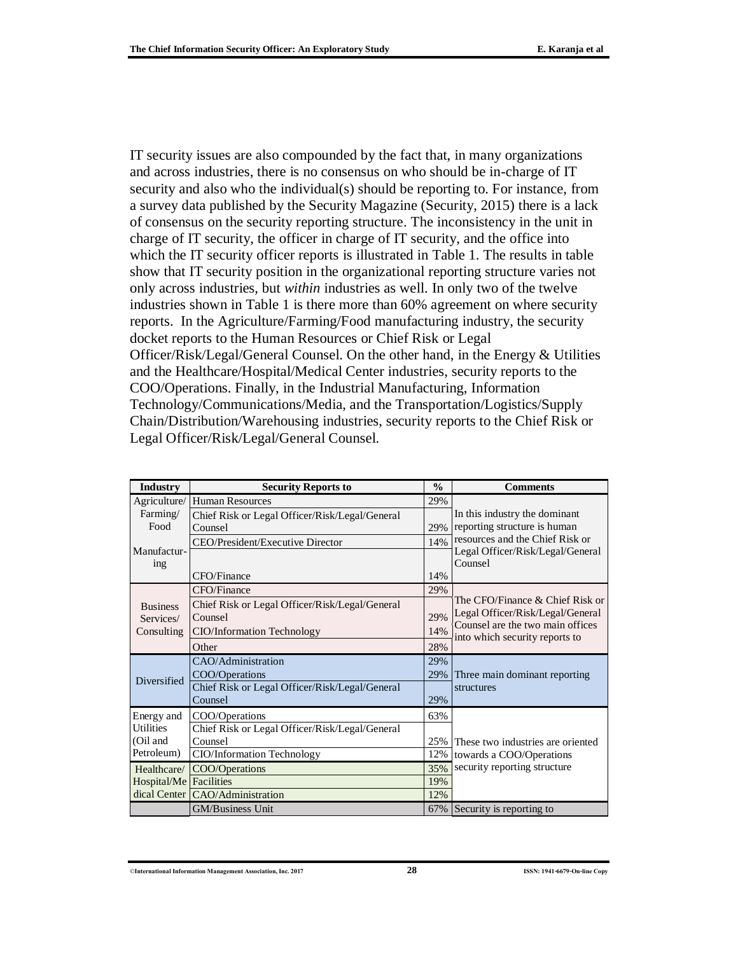IT security issues are also compounded by the fact that, in many organizations and across industries, there is no consensus on who should be in-charge of IT security and also who the individual(s) should be reporting to. For instance, from a survey data published by the Security Magazine (Security, 2015) there is a lack of consensus on the security reporting structure. The inconsistency in the unit in charge of IT security, the officer in charge of IT security, and the office into which the IT security officer reports is illustrated in Table 1. The results in table show that IT security position in the organizational reporting structure varies not only across industries, but *within* industries as well. In only two of the twelve industries shown in Table 1 is there more than 60% agreement on where security reports. In the Agriculture/Farming/Food manufacturing industry, the security docket reports to the Human Resources or Chief Risk or Legal Officer/Risk/Legal/General Counsel. On the other hand, in the Energy & Utilities and the Healthcare/Hospital/Medical Center industries, security reports to the COO/Operations. Finally, in the Industrial Manufacturing, Information Technology/Communications/Media, and the Transportation/Logistics/Supply Chain/Distribution/Warehousing industries, security reports to the Chief Risk or Legal Officer/Risk/Legal/General Counsel.

| Industry                 | <b>Security Reports to</b>                     | $\frac{0}{0}$                               | <b>Comments</b>                                                      |  |  |  |  |
|--------------------------|------------------------------------------------|---------------------------------------------|----------------------------------------------------------------------|--|--|--|--|
| Agriculture/             | <b>Human Resources</b>                         | 29%                                         |                                                                      |  |  |  |  |
| Farming/                 | Chief Risk or Legal Officer/Risk/Legal/General | In this industry the dominant               |                                                                      |  |  |  |  |
| Food                     | Counsel                                        | 29%                                         | reporting structure is human                                         |  |  |  |  |
|                          | CEO/President/Executive Director               | 14%                                         | resources and the Chief Risk or                                      |  |  |  |  |
| Manufactur-              |                                                | Legal Officer/Risk/Legal/General<br>Counsel |                                                                      |  |  |  |  |
| 1 <sub>ng</sub>          | CFO/Finance                                    |                                             |                                                                      |  |  |  |  |
|                          | CFO/Finance                                    | 29%                                         |                                                                      |  |  |  |  |
| <b>Business</b>          | Chief Risk or Legal Officer/Risk/Legal/General |                                             | The CFO/Finance & Chief Risk or                                      |  |  |  |  |
| Services/                | Counsel                                        | 29%                                         | Legal Officer/Risk/Legal/General<br>Counsel are the two main offices |  |  |  |  |
| Consulting               | CIO/Information Technology                     | 14%                                         |                                                                      |  |  |  |  |
|                          | Other                                          | into which security reports to              |                                                                      |  |  |  |  |
|                          | CAO/Administration                             | 29%                                         |                                                                      |  |  |  |  |
| <b>Diversified</b>       | COO/Operations                                 | 29%                                         | Three main dominant reporting                                        |  |  |  |  |
|                          | Chief Risk or Legal Officer/Risk/Legal/General |                                             | structures                                                           |  |  |  |  |
|                          | Counsel                                        | 29%                                         |                                                                      |  |  |  |  |
| Energy and               | COO/Operations                                 | 63%                                         |                                                                      |  |  |  |  |
| <b>Utilities</b>         | Chief Risk or Legal Officer/Risk/Legal/General |                                             |                                                                      |  |  |  |  |
| (Oil and                 | Counsel                                        |                                             | 25% These two industries are oriented                                |  |  |  |  |
| Petroleum)               | CIO/Information Technology                     | 12%                                         | towards a COO/Operations                                             |  |  |  |  |
| Healthcare/              | COO/Operations                                 |                                             | security reporting structure                                         |  |  |  |  |
| Hospital/Me   Facilities |                                                | 19%                                         |                                                                      |  |  |  |  |
|                          | dical Center CAO/Administration                | 12%                                         |                                                                      |  |  |  |  |
|                          | <b>GM/Business Unit</b>                        | Security is reporting to                    |                                                                      |  |  |  |  |

<sup>©</sup>**International Information Management Association, Inc. 2017 28 ISSN: 1941-6679-On-line Copy**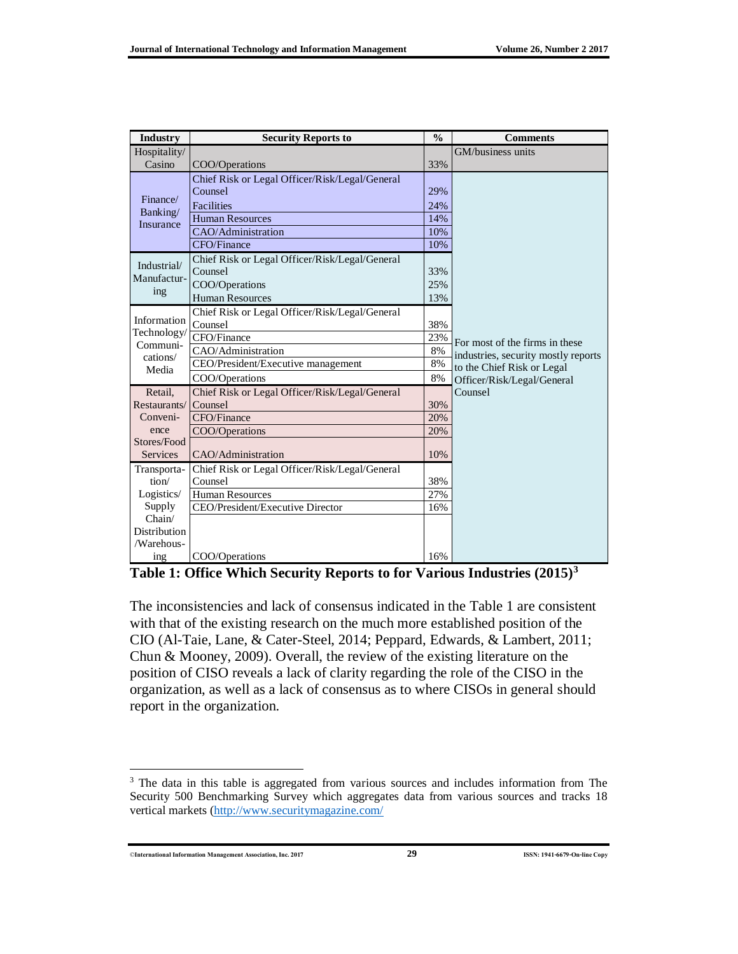| <b>Industry</b>            | <b>Security Reports to</b>                     | $\frac{0}{0}$ | <b>Comments</b>                     |  |  |
|----------------------------|------------------------------------------------|---------------|-------------------------------------|--|--|
| Hospitality/               |                                                |               | GM/business units                   |  |  |
| Casino                     | COO/Operations                                 | 33%           |                                     |  |  |
|                            | Chief Risk or Legal Officer/Risk/Legal/General |               |                                     |  |  |
|                            | Counsel                                        | 29%           |                                     |  |  |
| Finance/<br>Banking/       | Facilities                                     | 24%           |                                     |  |  |
| Insurance                  | <b>Human Resources</b>                         | 14%           |                                     |  |  |
|                            | CAO/Administration                             | 10%           |                                     |  |  |
|                            | CFO/Finance                                    | 10%           |                                     |  |  |
|                            | Chief Risk or Legal Officer/Risk/Legal/General |               |                                     |  |  |
| Industrial/<br>Manufactur- | Counsel                                        | 33%           |                                     |  |  |
|                            | COO/Operations                                 | 25%           |                                     |  |  |
| ing                        | <b>Human Resources</b>                         | 13%           |                                     |  |  |
|                            | Chief Risk or Legal Officer/Risk/Legal/General |               |                                     |  |  |
| Information                | Counsel                                        | 38%           |                                     |  |  |
| Technology/                | CFO/Finance                                    | 23%           | For most of the firms in these      |  |  |
| Communi-<br>cations/       | CAO/Administration                             | 8%            | industries, security mostly reports |  |  |
| Media                      | CEO/President/Executive management             | 8%            | to the Chief Risk or Legal          |  |  |
|                            | COO/Operations                                 | 8%            | Officer/Risk/Legal/General          |  |  |
| Retail,                    | Chief Risk or Legal Officer/Risk/Legal/General |               | Counsel                             |  |  |
| Restaurants/               | Counsel                                        | 30%           |                                     |  |  |
| Conveni-                   | CFO/Finance                                    | 20%           |                                     |  |  |
| ence                       | COO/Operations                                 | 20%           |                                     |  |  |
| Stores/Food                |                                                |               |                                     |  |  |
| <b>Services</b>            | CAO/Administration                             | 10%           |                                     |  |  |
| Transporta-                | Chief Risk or Legal Officer/Risk/Legal/General |               |                                     |  |  |
| tion/                      | Counsel                                        | 38%           |                                     |  |  |
| Logistics/                 | <b>Human Resources</b>                         | 27%           |                                     |  |  |
| Supply                     | CEO/President/Executive Director               | 16%           |                                     |  |  |
| Chain/                     |                                                |               |                                     |  |  |
| Distribution               |                                                |               |                                     |  |  |
| /Warehous-                 |                                                |               |                                     |  |  |
| ing                        | COO/Operations                                 | 16%           |                                     |  |  |

**Table 1: Office Which Security Reports to for Various Industries (2015)<sup>3</sup>**

The inconsistencies and lack of consensus indicated in the Table 1 are consistent with that of the existing research on the much more established position of the CIO (Al-Taie, Lane, & Cater-Steel, 2014; Peppard, Edwards, & Lambert, 2011; Chun & Mooney, 2009). Overall, the review of the existing literature on the position of CISO reveals a lack of clarity regarding the role of the CISO in the organization, as well as a lack of consensus as to where CISOs in general should report in the organization.

©**International Information Management Association, Inc. 2017 29 ISSN: 1941-6679-On-line Copy**

 $\overline{a}$ 

<sup>&</sup>lt;sup>3</sup> The data in this table is aggregated from various sources and includes information from The Security 500 Benchmarking Survey which aggregates data from various sources and tracks 18 vertical markets [\(http://www.securitymagazine.com/](http://www.securitymagazine.com/)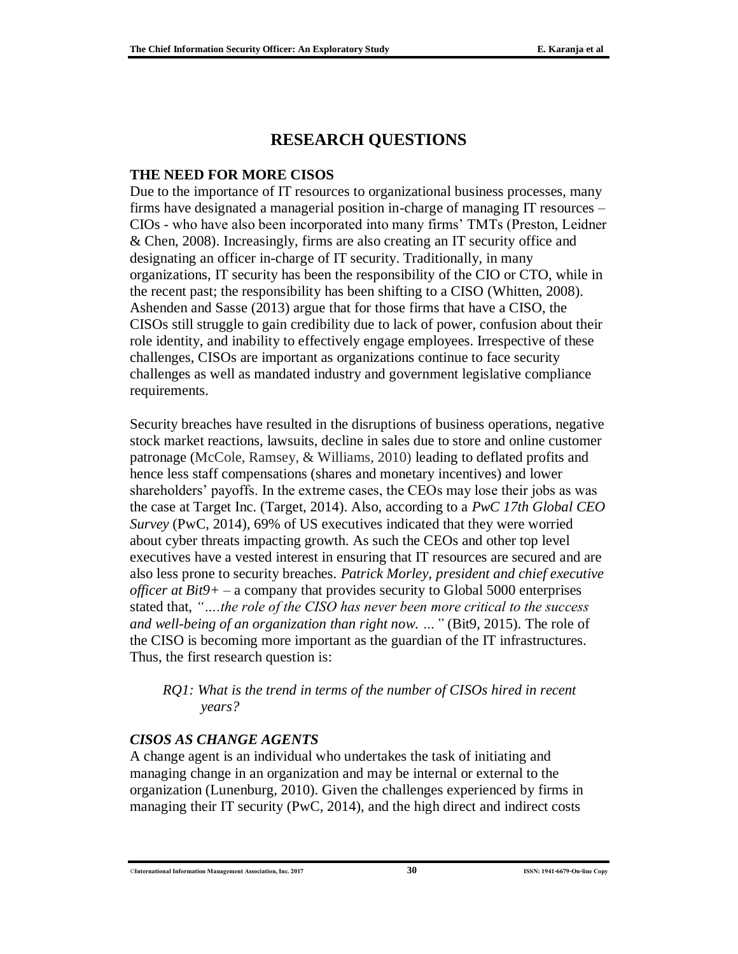# **RESEARCH QUESTIONS**

#### **THE NEED FOR MORE CISOS**

Due to the importance of IT resources to organizational business processes, many firms have designated a managerial position in-charge of managing IT resources – CIOs - who have also been incorporated into many firms' TMTs (Preston, Leidner & Chen, 2008). Increasingly, firms are also creating an IT security office and designating an officer in-charge of IT security. Traditionally, in many organizations, IT security has been the responsibility of the CIO or CTO, while in the recent past; the responsibility has been shifting to a CISO (Whitten, 2008). Ashenden and Sasse (2013) argue that for those firms that have a CISO, the CISOs still struggle to gain credibility due to lack of power, confusion about their role identity, and inability to effectively engage employees. Irrespective of these challenges, CISOs are important as organizations continue to face security challenges as well as mandated industry and government legislative compliance requirements.

Security breaches have resulted in the disruptions of business operations, negative stock market reactions, lawsuits, decline in sales due to store and online customer patronage (McCole, Ramsey, & Williams, 2010) leading to deflated profits and hence less staff compensations (shares and monetary incentives) and lower shareholders' payoffs. In the extreme cases, the CEOs may lose their jobs as was the case at Target Inc. (Target, 2014). Also, according to a *PwC 17th Global CEO Survey* (PwC, 2014), 69% of US executives indicated that they were worried about cyber threats impacting growth. As such the CEOs and other top level executives have a vested interest in ensuring that IT resources are secured and are also less prone to security breaches. *Patrick Morley, president and chief executive officer at Bit9+* – a company that provides security to Global 5000 enterprises stated that, *"….the role of the CISO has never been more critical to the success and well-being of an organization than right now. …"* (Bit9, 2015). The role of the CISO is becoming more important as the guardian of the IT infrastructures. Thus, the first research question is:

#### *RQ1: What is the trend in terms of the number of CISOs hired in recent years?*

#### *CISOS AS CHANGE AGENTS*

A change agent is an individual who undertakes the task of initiating and managing change in an organization and may be internal or external to the organization (Lunenburg, 2010). Given the challenges experienced by firms in managing their IT security (PwC, 2014), and the high direct and indirect costs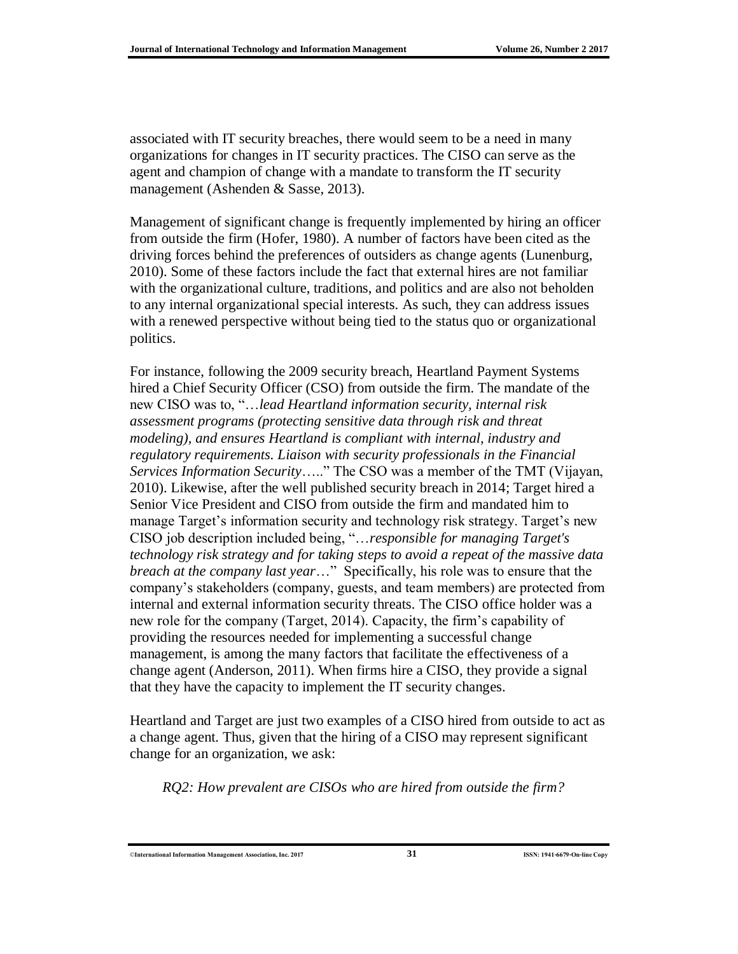associated with IT security breaches, there would seem to be a need in many organizations for changes in IT security practices. The CISO can serve as the agent and champion of change with a mandate to transform the IT security management (Ashenden & Sasse, 2013).

Management of significant change is frequently implemented by hiring an officer from outside the firm (Hofer, 1980). A number of factors have been cited as the driving forces behind the preferences of outsiders as change agents (Lunenburg, 2010). Some of these factors include the fact that external hires are not familiar with the organizational culture, traditions, and politics and are also not beholden to any internal organizational special interests. As such, they can address issues with a renewed perspective without being tied to the status quo or organizational politics.

For instance, following the 2009 security breach, Heartland Payment Systems hired a Chief Security Officer (CSO) from outside the firm. The mandate of the new CISO was to, "…*lead Heartland information security, internal risk assessment programs (protecting sensitive data through risk and threat modeling), and ensures Heartland is compliant with internal, industry and regulatory requirements. Liaison with security professionals in the Financial Services Information Security*….." The CSO was a member of the TMT (Vijayan, 2010). Likewise, after the well published security breach in 2014; Target hired a Senior Vice President and CISO from outside the firm and mandated him to manage Target's information security and technology risk strategy. Target's new CISO job description included being, "…*responsible for managing Target's technology risk strategy and for taking steps to avoid a repeat of the massive data breach at the company last year*…" Specifically, his role was to ensure that the company's stakeholders (company, guests, and team members) are protected from internal and external information security threats. The CISO office holder was a new role for the company (Target, 2014). Capacity, the firm's capability of providing the resources needed for implementing a successful change management, is among the many factors that facilitate the effectiveness of a change agent (Anderson, 2011). When firms hire a CISO, they provide a signal that they have the capacity to implement the IT security changes.

Heartland and Target are just two examples of a CISO hired from outside to act as a change agent. Thus, given that the hiring of a CISO may represent significant change for an organization, we ask:

*RQ2: How prevalent are CISOs who are hired from outside the firm?*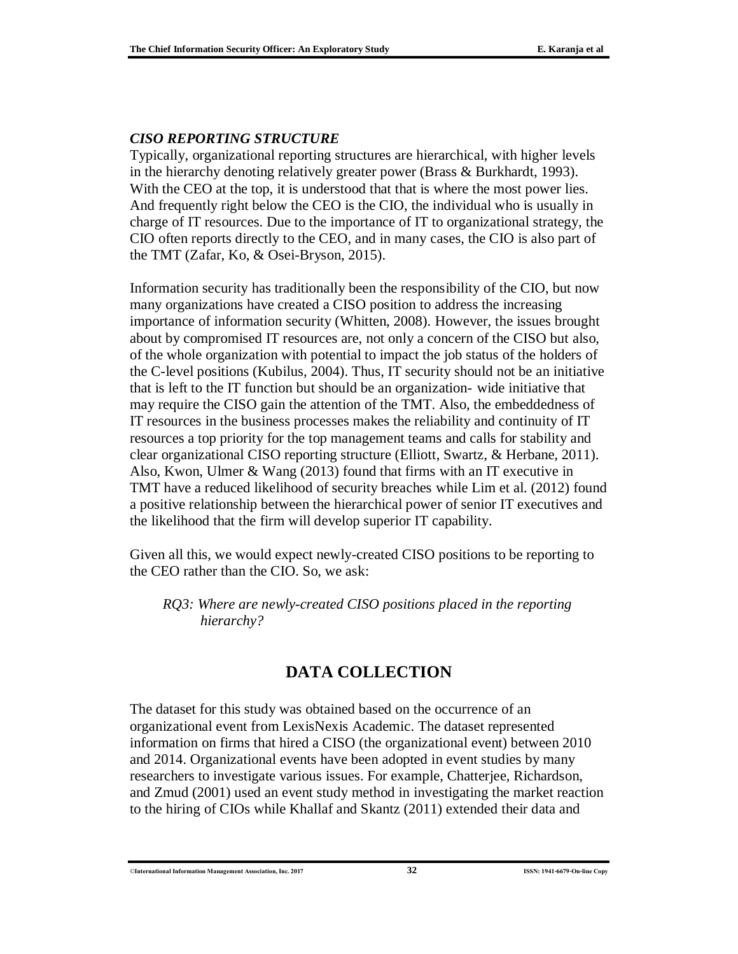#### *CISO REPORTING STRUCTURE*

Typically, organizational reporting structures are hierarchical, with higher levels in the hierarchy denoting relatively greater power (Brass & Burkhardt, 1993). With the CEO at the top, it is understood that that is where the most power lies. And frequently right below the CEO is the CIO, the individual who is usually in charge of IT resources. Due to the importance of IT to organizational strategy, the CIO often reports directly to the CEO, and in many cases, the CIO is also part of the TMT (Zafar, Ko, & Osei-Bryson, 2015).

Information security has traditionally been the responsibility of the CIO, but now many organizations have created a CISO position to address the increasing importance of information security (Whitten, 2008). However, the issues brought about by compromised IT resources are, not only a concern of the CISO but also, of the whole organization with potential to impact the job status of the holders of the C-level positions (Kubilus, 2004). Thus, IT security should not be an initiative that is left to the IT function but should be an organization- wide initiative that may require the CISO gain the attention of the TMT. Also, the embeddedness of IT resources in the business processes makes the reliability and continuity of IT resources a top priority for the top management teams and calls for stability and clear organizational CISO reporting structure (Elliott, Swartz, & Herbane, 2011). Also, Kwon, Ulmer & Wang (2013) found that firms with an IT executive in TMT have a reduced likelihood of security breaches while Lim et al. (2012) found a positive relationship between the hierarchical power of senior IT executives and the likelihood that the firm will develop superior IT capability.

Given all this, we would expect newly-created CISO positions to be reporting to the CEO rather than the CIO. So, we ask:

*RQ3: Where are newly-created CISO positions placed in the reporting hierarchy?*

## **DATA COLLECTION**

The dataset for this study was obtained based on the occurrence of an organizational event from LexisNexis Academic. The dataset represented information on firms that hired a CISO (the organizational event) between 2010 and 2014. Organizational events have been adopted in event studies by many researchers to investigate various issues. For example, Chatterjee, Richardson, and Zmud (2001) used an event study method in investigating the market reaction to the hiring of CIOs while Khallaf and Skantz (2011) extended their data and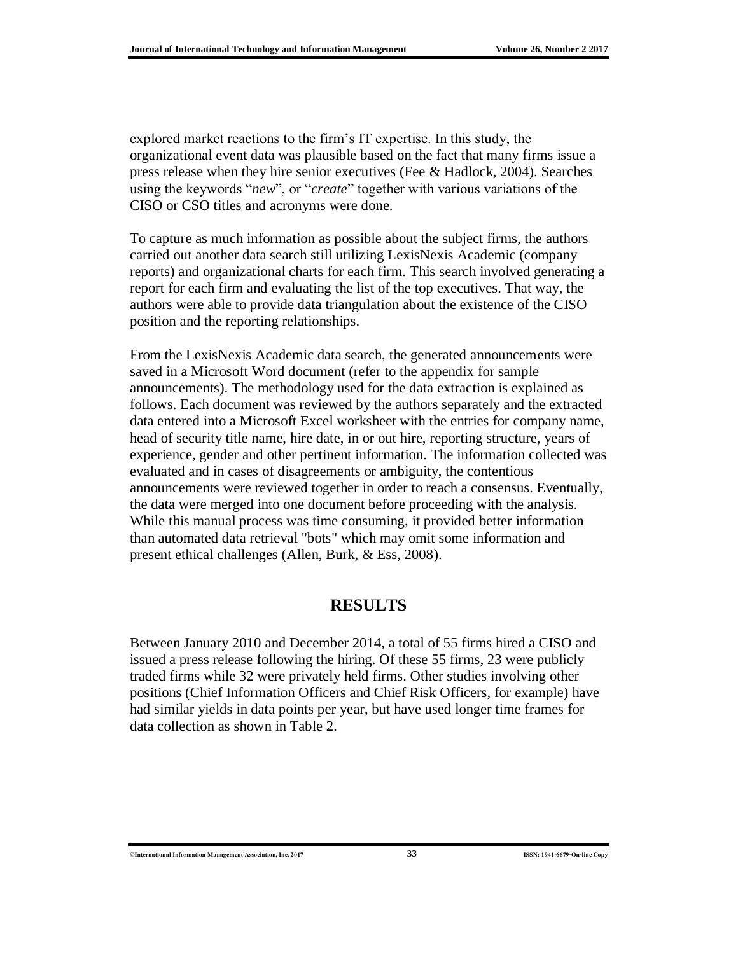explored market reactions to the firm's IT expertise. In this study, the organizational event data was plausible based on the fact that many firms issue a press release when they hire senior executives (Fee & Hadlock, 2004). Searches using the keywords "*new*", or "*create*" together with various variations of the CISO or CSO titles and acronyms were done.

To capture as much information as possible about the subject firms, the authors carried out another data search still utilizing LexisNexis Academic (company reports) and organizational charts for each firm. This search involved generating a report for each firm and evaluating the list of the top executives. That way, the authors were able to provide data triangulation about the existence of the CISO position and the reporting relationships.

From the LexisNexis Academic data search, the generated announcements were saved in a Microsoft Word document (refer to the appendix for sample announcements). The methodology used for the data extraction is explained as follows. Each document was reviewed by the authors separately and the extracted data entered into a Microsoft Excel worksheet with the entries for company name, head of security title name, hire date, in or out hire, reporting structure, years of experience, gender and other pertinent information. The information collected was evaluated and in cases of disagreements or ambiguity, the contentious announcements were reviewed together in order to reach a consensus. Eventually, the data were merged into one document before proceeding with the analysis. While this manual process was time consuming, it provided better information than automated data retrieval "bots" which may omit some information and present ethical challenges (Allen, Burk, & Ess, 2008).

### **RESULTS**

Between January 2010 and December 2014, a total of 55 firms hired a CISO and issued a press release following the hiring. Of these 55 firms, 23 were publicly traded firms while 32 were privately held firms. Other studies involving other positions (Chief Information Officers and Chief Risk Officers, for example) have had similar yields in data points per year, but have used longer time frames for data collection as shown in Table 2.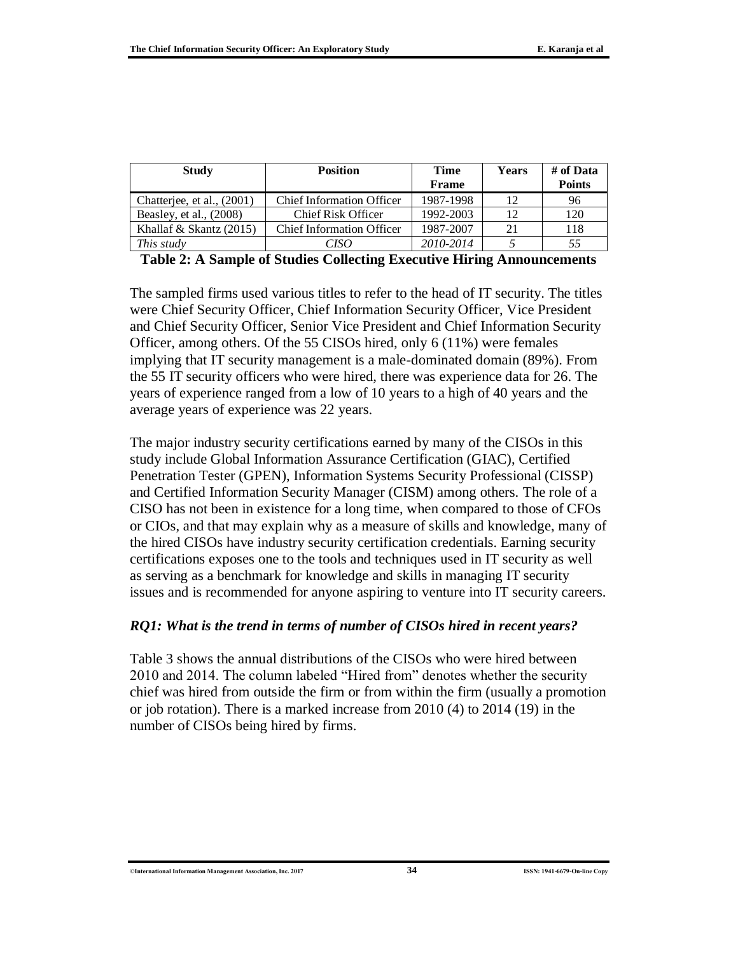| <b>Study</b>               | <b>Position</b>                  | <b>Time</b>  | Years | # of Data     |  |
|----------------------------|----------------------------------|--------------|-------|---------------|--|
|                            |                                  | <b>Frame</b> |       | <b>Points</b> |  |
| Chatterjee, et al., (2001) | <b>Chief Information Officer</b> | 1987-1998    | 12    | 96            |  |
| Beasley, et al., $(2008)$  | <b>Chief Risk Officer</b>        | 1992-2003    | 12    | 120           |  |
| Khallaf & Skantz $(2015)$  | <b>Chief Information Officer</b> | 1987-2007    | 21    | 118           |  |
| This study                 | CISO                             | 2010-2014    |       | 55            |  |

**Table 2: A Sample of Studies Collecting Executive Hiring Announcements**

The sampled firms used various titles to refer to the head of IT security. The titles were Chief Security Officer, Chief Information Security Officer, Vice President and Chief Security Officer, Senior Vice President and Chief Information Security Officer, among others. Of the 55 CISOs hired, only 6 (11%) were females implying that IT security management is a male-dominated domain (89%). From the 55 IT security officers who were hired, there was experience data for 26. The years of experience ranged from a low of 10 years to a high of 40 years and the average years of experience was 22 years.

The major industry security certifications earned by many of the CISOs in this study include Global Information Assurance Certification (GIAC), Certified Penetration Tester (GPEN), Information Systems Security Professional (CISSP) and Certified Information Security Manager (CISM) among others. The role of a CISO has not been in existence for a long time, when compared to those of CFOs or CIOs, and that may explain why as a measure of skills and knowledge, many of the hired CISOs have industry security certification credentials. Earning security certifications exposes one to the tools and techniques used in IT security as well as serving as a benchmark for knowledge and skills in managing IT security issues and is recommended for anyone aspiring to venture into IT security careers.

#### *RQ1: What is the trend in terms of number of CISOs hired in recent years?*

Table 3 shows the annual distributions of the CISOs who were hired between 2010 and 2014. The column labeled "Hired from" denotes whether the security chief was hired from outside the firm or from within the firm (usually a promotion or job rotation). There is a marked increase from 2010 (4) to 2014 (19) in the number of CISOs being hired by firms.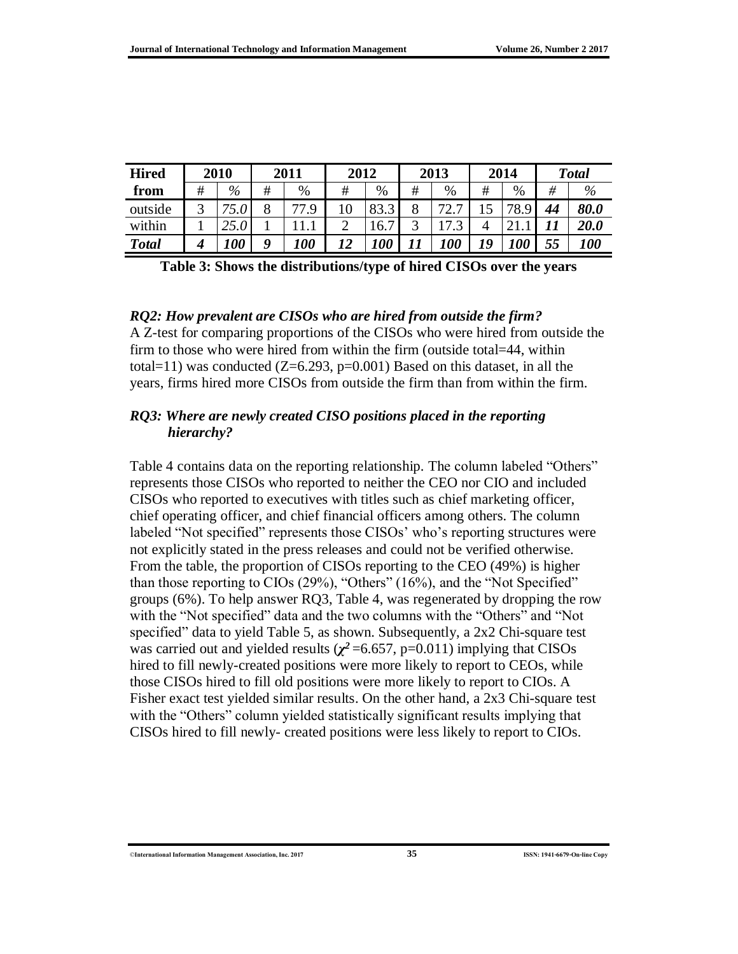| <b>Hired</b> |   | 2010 | 2011             |            | 2012 |                                  | 2013 |                        | 2014 |      | <b>Total</b> |             |
|--------------|---|------|------------------|------------|------|----------------------------------|------|------------------------|------|------|--------------|-------------|
| from         | # | $\%$ | #                | $\%$       | #    | %                                | #    | $\%$                   | #    | %    | #            | $\%$        |
| outside      | ⌒ |      |                  | 77 Q       |      | 83.3<br>$\bigcap$                | 8    | 70                     |      | 78.5 | 44           | 80.0        |
| within       |   |      |                  |            |      | $\overline{\phantom{0}}$<br>16.7 | ◠    | $\mathbf{r}$<br>$\sim$ |      |      |              | <i>20.0</i> |
| <b>Total</b> |   | 100  | $\boldsymbol{0}$ | <i>100</i> | 19   | <b>00</b>                        |      | <i>100</i>             | 19   | 100  | 55           | <i>100</i>  |

**Table 3: Shows the distributions/type of hired CISOs over the years**

#### *RQ2: How prevalent are CISOs who are hired from outside the firm?*

A Z-test for comparing proportions of the CISOs who were hired from outside the firm to those who were hired from within the firm (outside total=44, within total=11) was conducted  $(Z=6.293, p=0.001)$  Based on this dataset, in all the years, firms hired more CISOs from outside the firm than from within the firm.

#### *RQ3: Where are newly created CISO positions placed in the reporting hierarchy?*

Table 4 contains data on the reporting relationship. The column labeled "Others" represents those CISOs who reported to neither the CEO nor CIO and included CISOs who reported to executives with titles such as chief marketing officer, chief operating officer, and chief financial officers among others. The column labeled "Not specified" represents those CISOs' who's reporting structures were not explicitly stated in the press releases and could not be verified otherwise. From the table, the proportion of CISOs reporting to the CEO (49%) is higher than those reporting to CIOs (29%), "Others" (16%), and the "Not Specified" groups (6%). To help answer RQ3, Table 4, was regenerated by dropping the row with the "Not specified" data and the two columns with the "Others" and "Not specified" data to yield Table 5, as shown. Subsequently, a 2x2 Chi-square test was carried out and yielded results ( $\chi^2$  =6.657, p=0.011) implying that CISOs hired to fill newly-created positions were more likely to report to CEOs, while those CISOs hired to fill old positions were more likely to report to CIOs. A Fisher exact test yielded similar results. On the other hand, a 2x3 Chi-square test with the "Others" column yielded statistically significant results implying that CISOs hired to fill newly- created positions were less likely to report to CIOs.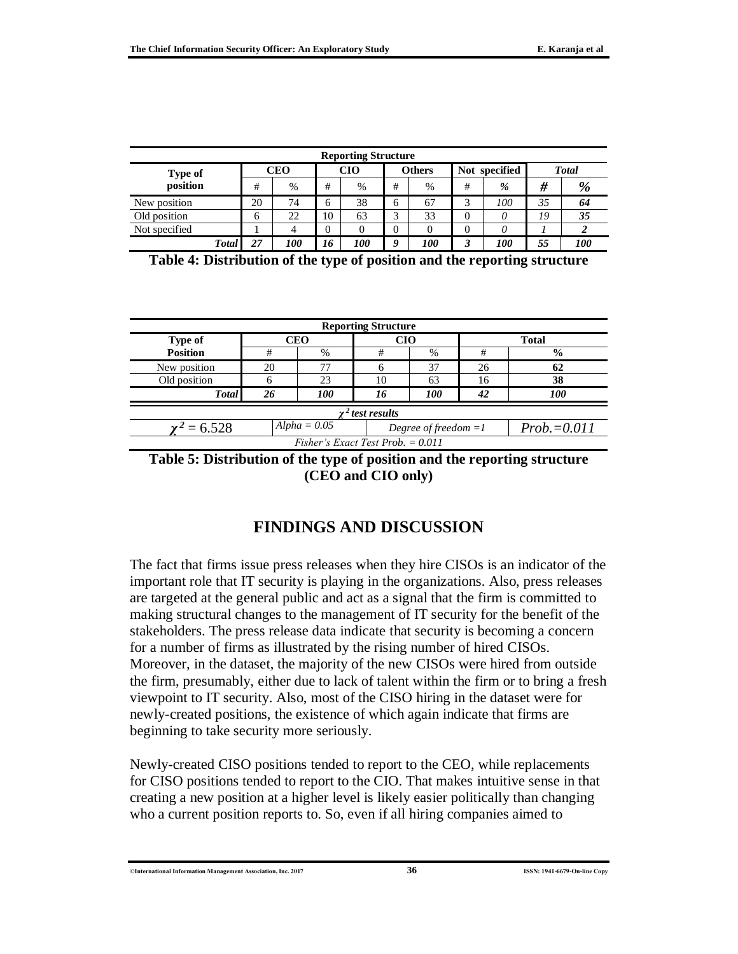| <b>Reporting Structure</b> |              |    |            |          |               |   |               |               |      |               |     |
|----------------------------|--------------|----|------------|----------|---------------|---|---------------|---------------|------|---------------|-----|
| Type of                    |              |    | CEO        |          | <b>CIO</b>    |   | <b>Others</b> | Not specified |      | <b>T</b> otal |     |
| position                   |              | #  | $\%$       | #        | $\frac{0}{0}$ | # | $\%$          | #             | $\%$ | #             | %   |
| New position               |              | 20 | 74         | 6        | 38            | 6 | 67            |               | 100  | 35            | 64  |
| Old position               |              | 6  | 22         | 10       | 63            | ◠ | 33            | 0             | 0    | 19            | 35  |
| Not specified              |              |    |            | $\theta$ |               |   |               |               | 0    |               |     |
|                            | <b>Total</b> | 27 | <i>100</i> | 16       | <i>100</i>    | 9 | <i>100</i>    |               | 100  | 55            | 100 |

| <b>Reporting Structure</b>          |    |                |    |                        |                |               |  |  |  |  |
|-------------------------------------|----|----------------|----|------------------------|----------------|---------------|--|--|--|--|
| <b>Type of</b>                      |    | <b>CEO</b>     |    | CIO                    |                | <b>Total</b>  |  |  |  |  |
| <b>Position</b>                     | #  | $\%$           | #  | $\%$                   | #              | $\frac{0}{0}$ |  |  |  |  |
| New position                        | 20 | 77             |    | 37                     | 26             | 62            |  |  |  |  |
| Old position                        |    | 23             | 10 | 63                     | 16             | 38            |  |  |  |  |
| <b>Total</b>                        | 26 | 100            | 16 | 100                    | 42             | 100           |  |  |  |  |
| $\gamma^2$ test results             |    |                |    |                        |                |               |  |  |  |  |
| $\gamma^2 = 6.528$                  |    | $Alpha = 0.05$ |    | Degree of freedom $=1$ | $Prob = 0.011$ |               |  |  |  |  |
| Fisher's Exact Test Prob. $= 0.011$ |    |                |    |                        |                |               |  |  |  |  |

**Table 5: Distribution of the type of position and the reporting structure (CEO and CIO only)**

## **FINDINGS AND DISCUSSION**

The fact that firms issue press releases when they hire CISOs is an indicator of the important role that IT security is playing in the organizations. Also, press releases are targeted at the general public and act as a signal that the firm is committed to making structural changes to the management of IT security for the benefit of the stakeholders. The press release data indicate that security is becoming a concern for a number of firms as illustrated by the rising number of hired CISOs. Moreover, in the dataset, the majority of the new CISOs were hired from outside the firm, presumably, either due to lack of talent within the firm or to bring a fresh viewpoint to IT security. Also, most of the CISO hiring in the dataset were for newly-created positions, the existence of which again indicate that firms are beginning to take security more seriously.

Newly-created CISO positions tended to report to the CEO, while replacements for CISO positions tended to report to the CIO. That makes intuitive sense in that creating a new position at a higher level is likely easier politically than changing who a current position reports to. So, even if all hiring companies aimed to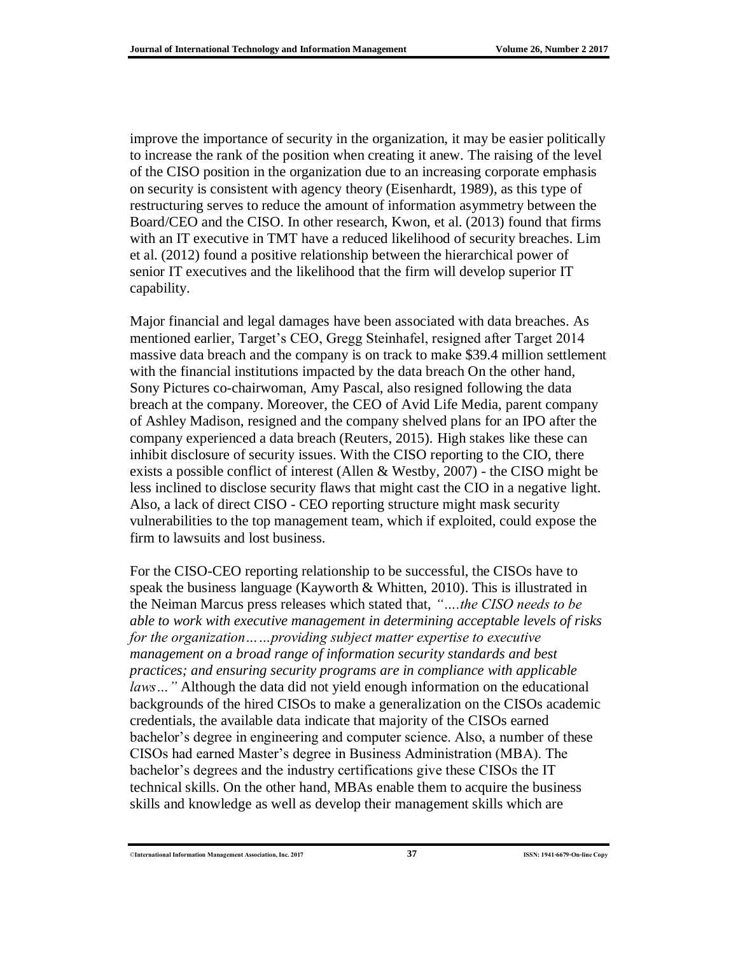improve the importance of security in the organization, it may be easier politically to increase the rank of the position when creating it anew. The raising of the level of the CISO position in the organization due to an increasing corporate emphasis on security is consistent with agency theory (Eisenhardt, 1989), as this type of restructuring serves to reduce the amount of information asymmetry between the Board/CEO and the CISO. In other research, Kwon, et al. (2013) found that firms with an IT executive in TMT have a reduced likelihood of security breaches. Lim et al. (2012) found a positive relationship between the hierarchical power of senior IT executives and the likelihood that the firm will develop superior IT capability.

Major financial and legal damages have been associated with data breaches. As mentioned earlier, Target's CEO, Gregg Steinhafel, resigned after Target 2014 massive data breach and the company is on track to make \$39.4 million settlement with the financial institutions impacted by the data breach On the other hand, Sony Pictures co-chairwoman, Amy Pascal, also resigned following the data breach at the company. Moreover, the CEO of Avid Life Media, parent company of Ashley Madison, resigned and the company shelved plans for an IPO after the company experienced a data breach (Reuters, 2015). High stakes like these can inhibit disclosure of security issues. With the CISO reporting to the CIO, there exists a possible conflict of interest (Allen & Westby, 2007) - the CISO might be less inclined to disclose security flaws that might cast the CIO in a negative light. Also, a lack of direct CISO - CEO reporting structure might mask security vulnerabilities to the top management team, which if exploited, could expose the firm to lawsuits and lost business.

For the CISO-CEO reporting relationship to be successful, the CISOs have to speak the business language (Kayworth & Whitten, 2010). This is illustrated in the Neiman Marcus press releases which stated that, *"….the CISO needs to be able to work with executive management in determining acceptable levels of risks for the organization……providing subject matter expertise to executive management on a broad range of information security standards and best practices; and ensuring security programs are in compliance with applicable laws…"* Although the data did not yield enough information on the educational backgrounds of the hired CISOs to make a generalization on the CISOs academic credentials, the available data indicate that majority of the CISOs earned bachelor's degree in engineering and computer science. Also, a number of these CISOs had earned Master's degree in Business Administration (MBA). The bachelor's degrees and the industry certifications give these CISOs the IT technical skills. On the other hand, MBAs enable them to acquire the business skills and knowledge as well as develop their management skills which are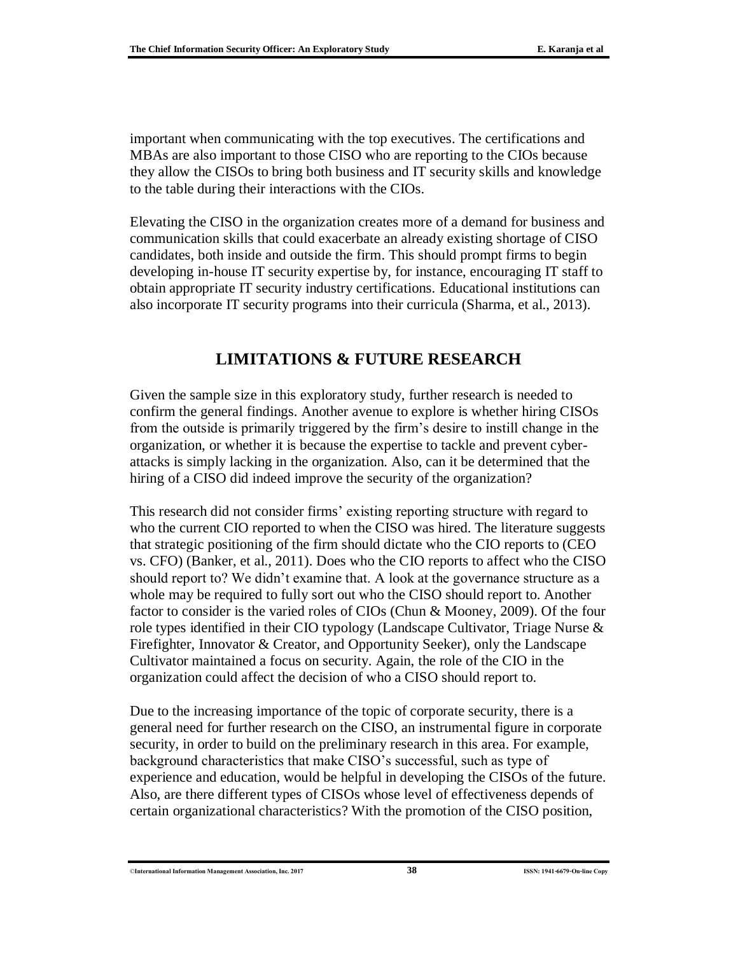important when communicating with the top executives. The certifications and MBAs are also important to those CISO who are reporting to the CIOs because they allow the CISOs to bring both business and IT security skills and knowledge to the table during their interactions with the CIOs.

Elevating the CISO in the organization creates more of a demand for business and communication skills that could exacerbate an already existing shortage of CISO candidates, both inside and outside the firm. This should prompt firms to begin developing in-house IT security expertise by, for instance, encouraging IT staff to obtain appropriate IT security industry certifications. Educational institutions can also incorporate IT security programs into their curricula (Sharma, et al., 2013).

### **LIMITATIONS & FUTURE RESEARCH**

Given the sample size in this exploratory study, further research is needed to confirm the general findings. Another avenue to explore is whether hiring CISOs from the outside is primarily triggered by the firm's desire to instill change in the organization, or whether it is because the expertise to tackle and prevent cyberattacks is simply lacking in the organization. Also, can it be determined that the hiring of a CISO did indeed improve the security of the organization?

This research did not consider firms' existing reporting structure with regard to who the current CIO reported to when the CISO was hired. The literature suggests that strategic positioning of the firm should dictate who the CIO reports to (CEO vs. CFO) (Banker, et al., 2011). Does who the CIO reports to affect who the CISO should report to? We didn't examine that. A look at the governance structure as a whole may be required to fully sort out who the CISO should report to. Another factor to consider is the varied roles of CIOs (Chun & Mooney, 2009). Of the four role types identified in their CIO typology (Landscape Cultivator, Triage Nurse & Firefighter, Innovator & Creator, and Opportunity Seeker), only the Landscape Cultivator maintained a focus on security. Again, the role of the CIO in the organization could affect the decision of who a CISO should report to.

Due to the increasing importance of the topic of corporate security, there is a general need for further research on the CISO, an instrumental figure in corporate security, in order to build on the preliminary research in this area. For example, background characteristics that make CISO's successful, such as type of experience and education, would be helpful in developing the CISOs of the future. Also, are there different types of CISOs whose level of effectiveness depends of certain organizational characteristics? With the promotion of the CISO position,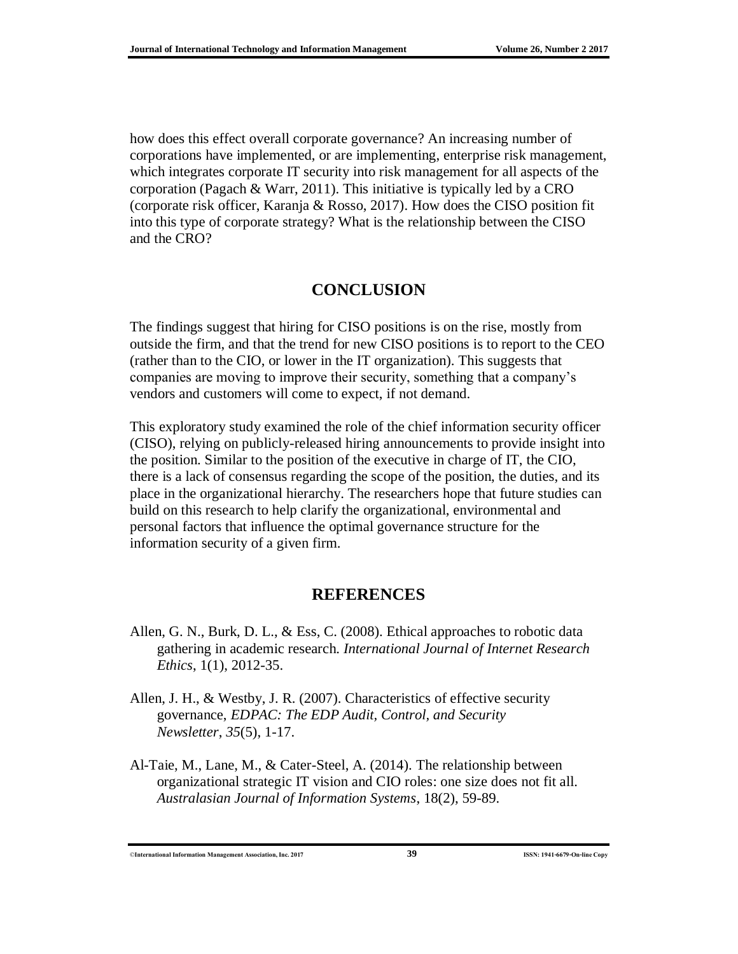how does this effect overall corporate governance? An increasing number of corporations have implemented, or are implementing, enterprise risk management, which integrates corporate IT security into risk management for all aspects of the corporation (Pagach & Warr, 2011). This initiative is typically led by a CRO (corporate risk officer, Karanja & Rosso, 2017). How does the CISO position fit into this type of corporate strategy? What is the relationship between the CISO and the CRO?

## **CONCLUSION**

The findings suggest that hiring for CISO positions is on the rise, mostly from outside the firm, and that the trend for new CISO positions is to report to the CEO (rather than to the CIO, or lower in the IT organization). This suggests that companies are moving to improve their security, something that a company's vendors and customers will come to expect, if not demand.

This exploratory study examined the role of the chief information security officer (CISO), relying on publicly-released hiring announcements to provide insight into the position. Similar to the position of the executive in charge of IT, the CIO, there is a lack of consensus regarding the scope of the position, the duties, and its place in the organizational hierarchy. The researchers hope that future studies can build on this research to help clarify the organizational, environmental and personal factors that influence the optimal governance structure for the information security of a given firm.

### **REFERENCES**

- Allen, G. N., Burk, D. L., & Ess, C. (2008). Ethical approaches to robotic data gathering in academic research. *International Journal of Internet Research Ethics*, 1(1), 2012-35.
- Allen, J. H., & Westby, J. R. (2007). Characteristics of effective security governance, *EDPAC: The EDP Audit, Control, and Security Newsletter*, *35*(5), 1-17.
- Al-Taie, M., Lane, M., & Cater-Steel, A. (2014). The relationship between organizational strategic IT vision and CIO roles: one size does not fit all. *Australasian Journal of Information Systems*, 18(2), 59-89.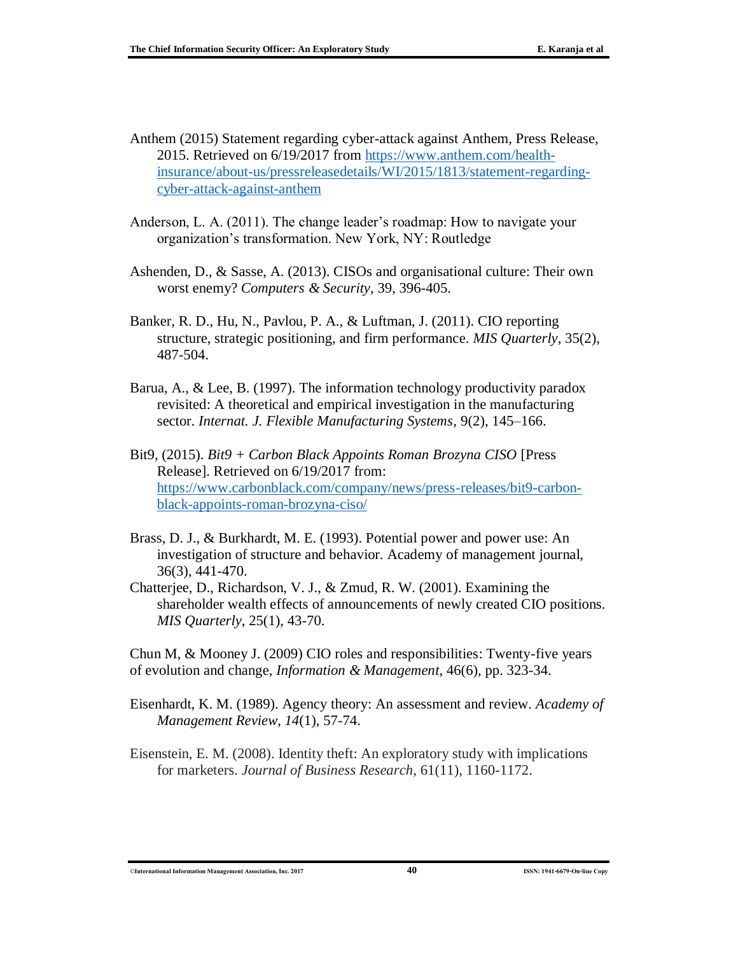- Anthem (2015) Statement regarding cyber-attack against Anthem, Press Release, 2015. Retrieved on 6/19/2017 from [https://www.anthem.com/health](https://www.anthem.com/health-insurance/about-us/pressreleasedetails/WI/2015/1813/statement-regarding-cyber-attack-against-anthem)[insurance/about-us/pressreleasedetails/WI/2015/1813/statement-regarding](https://www.anthem.com/health-insurance/about-us/pressreleasedetails/WI/2015/1813/statement-regarding-cyber-attack-against-anthem)[cyber-attack-against-anthem](https://www.anthem.com/health-insurance/about-us/pressreleasedetails/WI/2015/1813/statement-regarding-cyber-attack-against-anthem)
- Anderson, L. A. (2011). The change leader's roadmap: How to navigate your organization's transformation. New York, NY: Routledge
- Ashenden, D., & Sasse, A. (2013). CISOs and organisational culture: Their own worst enemy? *Computers & Security*, 39, 396-405.
- Banker, R. D., Hu, N., Pavlou, P. A., & Luftman, J. (2011). CIO reporting structure, strategic positioning, and firm performance. *MIS Quarterly*, 35(2), 487-504.
- Barua, A., & Lee, B. (1997). The information technology productivity paradox revisited: A theoretical and empirical investigation in the manufacturing sector. *Internat. J. Flexible Manufacturing Systems*, 9(2), 145–166.
- Bit9, (2015). *Bit9 + Carbon Black Appoints Roman Brozyna CISO* [Press Release]. Retrieved on 6/19/2017 from: [https://www.carbonblack.com/company/news/press-releases/bit9-carbon](https://www.carbonblack.com/company/news/press-releases/bit9-carbon-black-appoints-roman-brozyna-ciso/)[black-appoints-roman-brozyna-ciso/](https://www.carbonblack.com/company/news/press-releases/bit9-carbon-black-appoints-roman-brozyna-ciso/)
- Brass, D. J., & Burkhardt, M. E. (1993). Potential power and power use: An investigation of structure and behavior. Academy of management journal, 36(3), 441-470.
- Chatterjee, D., Richardson, V. J., & Zmud, R. W. (2001). Examining the shareholder wealth effects of announcements of newly created CIO positions. *MIS Quarterly*, 25(1), 43-70.

Chun M, & Mooney J. (2009) CIO roles and responsibilities: Twenty-five years of evolution and change, *Information & Management*, 46(6), pp. 323-34.

- Eisenhardt, K. M. (1989). Agency theory: An assessment and review. *Academy of Management Review*, *14*(1), 57-74.
- Eisenstein, E. M. (2008). Identity theft: An exploratory study with implications for marketers. *Journal of Business Research*, 61(11), 1160-1172.

©**International Information Management Association, Inc. 2017 40 ISSN: 1941-6679-On-line Copy**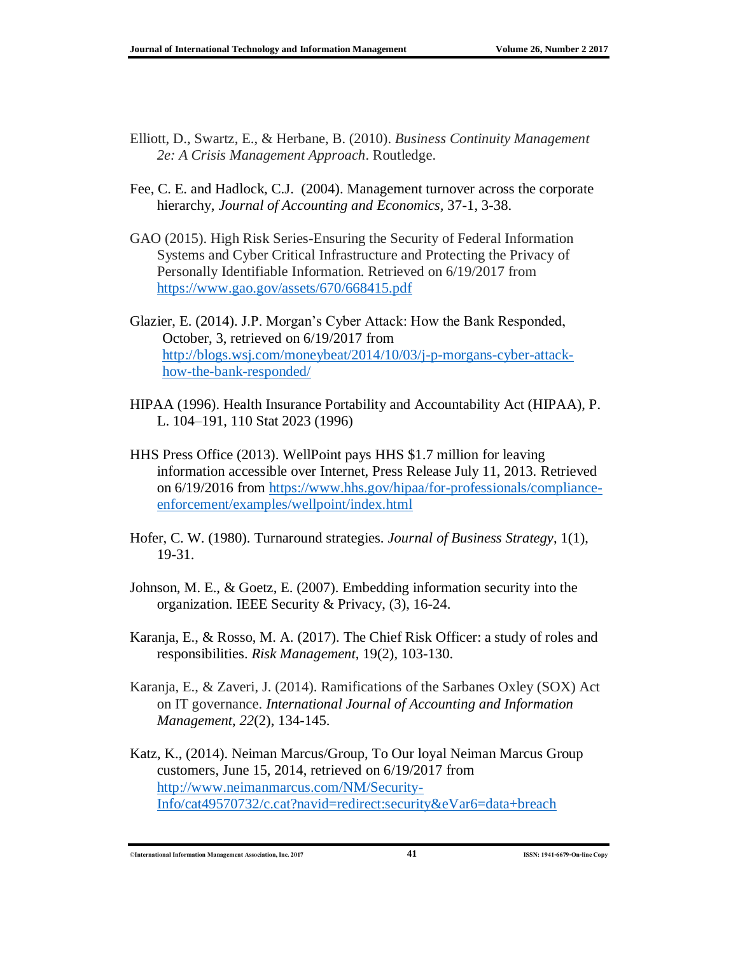- Elliott, D., Swartz, E., & Herbane, B. (2010). *Business Continuity Management 2e: A Crisis Management Approach*. Routledge.
- Fee, C. E. and Hadlock, C.J. (2004). Management turnover across the corporate hierarchy, *Journal of Accounting and Economics,* 37-1, 3-38.
- GAO (2015). High Risk Series-Ensuring the Security of Federal Information Systems and Cyber Critical Infrastructure and Protecting the Privacy of Personally Identifiable Information. Retrieved on 6/19/2017 from <https://www.gao.gov/assets/670/668415.pdf>
- Glazier, E. (2014). J.P. Morgan's Cyber Attack: How the Bank Responded, October, 3, retrieved on 6/19/2017 from [http://blogs.wsj.com/moneybeat/2014/10/03/j-p-morgans-cyber-attack](http://blogs.wsj.com/moneybeat/2014/10/03/j-p-morgans-cyber-attack-how-the-bank-responded/)[how-the-bank-responded/](http://blogs.wsj.com/moneybeat/2014/10/03/j-p-morgans-cyber-attack-how-the-bank-responded/)
- HIPAA (1996). Health Insurance Portability and Accountability Act (HIPAA), P. L. 104–191, 110 Stat 2023 (1996)
- HHS Press Office (2013). WellPoint pays HHS \$1.7 million for leaving information accessible over Internet, Press Release July 11, 2013. Retrieved on 6/19/2016 from [https://www.hhs.gov/hipaa/for-professionals/compliance](https://www.hhs.gov/hipaa/for-professionals/compliance-enforcement/examples/wellpoint/index.html)[enforcement/examples/wellpoint/index.html](https://www.hhs.gov/hipaa/for-professionals/compliance-enforcement/examples/wellpoint/index.html)
- Hofer, C. W. (1980). Turnaround strategies. *Journal of Business Strategy*, 1(1), 19-31.
- Johnson, M. E., & Goetz, E. (2007). Embedding information security into the organization. IEEE Security & Privacy, (3), 16-24.
- Karanja, E., & Rosso, M. A. (2017). The Chief Risk Officer: a study of roles and responsibilities. *Risk Management*, 19(2), 103-130.
- Karanja, E., & Zaveri, J. (2014). Ramifications of the Sarbanes Oxley (SOX) Act on IT governance. *International Journal of Accounting and Information Management*, *22*(2), 134-145.
- Katz, K., (2014). Neiman Marcus/Group, To Our loyal Neiman Marcus Group customers, June 15, 2014, retrieved on 6/19/2017 from [http://www.neimanmarcus.com/NM/Security-](http://www.neimanmarcus.com/NM/Security-Info/cat49570732/c.cat?navid=redirect:security&eVar6=data+breach)[Info/cat49570732/c.cat?navid=redirect:security&eVar6=data+breach](http://www.neimanmarcus.com/NM/Security-Info/cat49570732/c.cat?navid=redirect:security&eVar6=data+breach)

©**International Information Management Association, Inc. 2017 41 ISSN: 1941-6679-On-line Copy**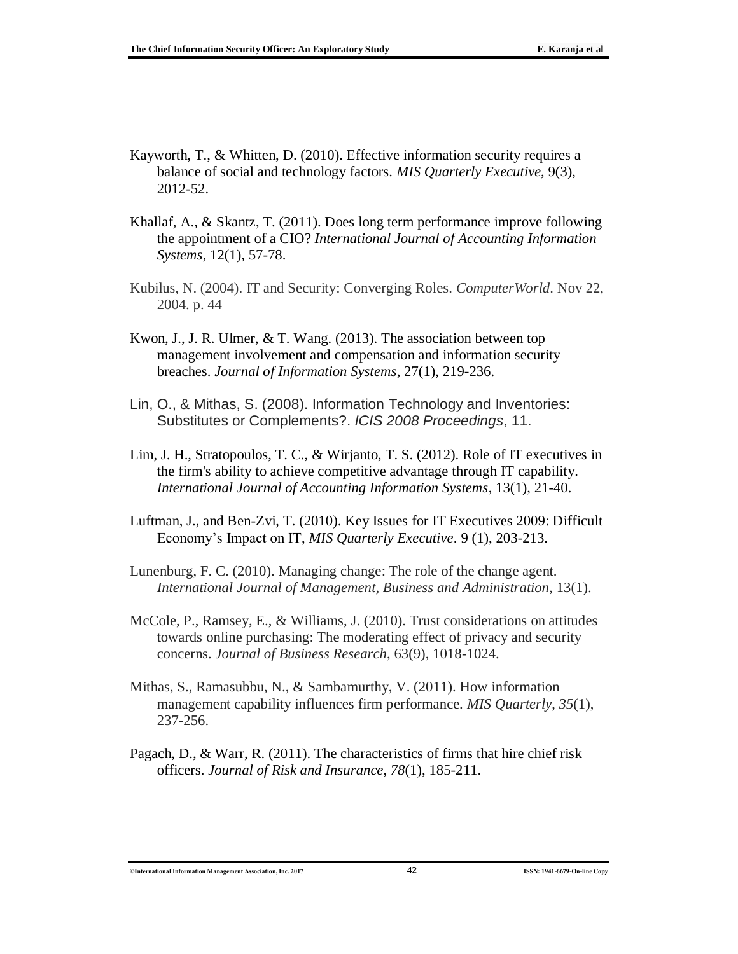- Kayworth, T., & Whitten, D. (2010). Effective information security requires a balance of social and technology factors. *MIS Quarterly Executive*, 9(3), 2012-52.
- Khallaf, A., & Skantz, T. (2011). Does long term performance improve following the appointment of a CIO? *International Journal of Accounting Information Systems*, 12(1), 57-78.
- Kubilus, N. (2004). IT and Security: Converging Roles. *ComputerWorld*. Nov 22, 2004. p. 44
- Kwon, J., J. R. Ulmer, & T. Wang. (2013). The association between top management involvement and compensation and information security breaches. *Journal of Information Systems*, 27(1), 219-236.
- Lin, O., & Mithas, S. (2008). Information Technology and Inventories: Substitutes or Complements?. *ICIS 2008 Proceedings*, 11.
- Lim, J. H., Stratopoulos, T. C., & Wirjanto, T. S. (2012). Role of IT executives in the firm's ability to achieve competitive advantage through IT capability. *International Journal of Accounting Information Systems*, 13(1), 21-40.
- Luftman, J., and Ben-Zvi, T. (2010). Key Issues for IT Executives 2009: Difficult Economy's Impact on IT, *MIS Quarterly Executive*. 9 (1), 203-213.
- Lunenburg, F. C. (2010). Managing change: The role of the change agent. *International Journal of Management, Business and Administration*, 13(1).
- McCole, P., Ramsey, E., & Williams, J. (2010). Trust considerations on attitudes towards online purchasing: The moderating effect of privacy and security concerns. *Journal of Business Research*, 63(9), 1018-1024.
- Mithas, S., Ramasubbu, N., & Sambamurthy, V. (2011). How information management capability influences firm performance. *MIS Quarterly*, *35*(1), 237-256.
- Pagach, D., & Warr, R. (2011). The characteristics of firms that hire chief risk officers. *Journal of Risk and Insurance*, *78*(1), 185-211.

©**International Information Management Association, Inc. 2017 42 ISSN: 1941-6679-On-line Copy**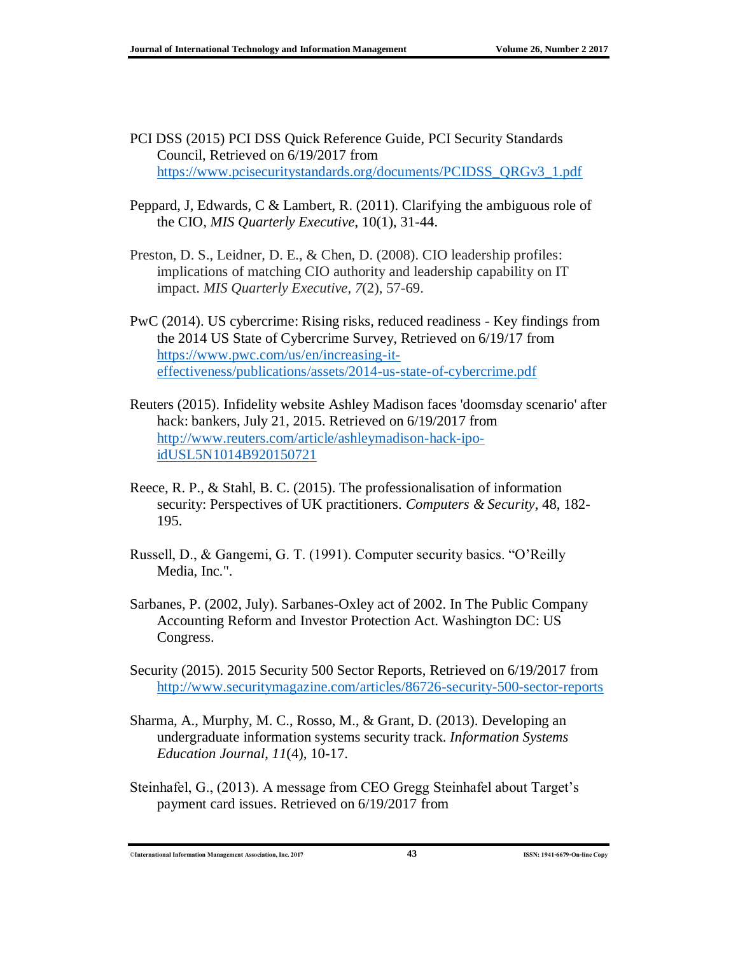- PCI DSS (2015) PCI DSS Quick Reference Guide, PCI Security Standards Council, Retrieved on 6/19/2017 from [https://www.pcisecuritystandards.org/documents/PCIDSS\\_QRGv3\\_1.pdf](https://www.pcisecuritystandards.org/documents/PCIDSS_QRGv3_1.pdf)
- Peppard, J, Edwards, C & Lambert, R. (2011). Clarifying the ambiguous role of the CIO, *MIS Quarterly Executive*, 10(1), 31-44.
- Preston, D. S., Leidner, D. E., & Chen, D. (2008). CIO leadership profiles: implications of matching CIO authority and leadership capability on IT impact. *MIS Quarterly Executive*, *7*(2), 57-69.
- PwC (2014). US cybercrime: Rising risks, reduced readiness Key findings from the 2014 US State of Cybercrime Survey, Retrieved on 6/19/17 from [https://www.pwc.com/us/en/increasing-it](https://www.pwc.com/us/en/increasing-it-effectiveness/publications/assets/2014-us-state-of-cybercrime.pdf)[effectiveness/publications/assets/2014-us-state-of-cybercrime.pdf](https://www.pwc.com/us/en/increasing-it-effectiveness/publications/assets/2014-us-state-of-cybercrime.pdf)
- Reuters (2015). Infidelity website Ashley Madison faces 'doomsday scenario' after hack: bankers, July 21, 2015. Retrieved on 6/19/2017 from [http://www.reuters.com/article/ashleymadison-hack-ipo](http://www.reuters.com/article/ashleymadison-hack-ipo-idUSL5N1014B920150721)[idUSL5N1014B920150721](http://www.reuters.com/article/ashleymadison-hack-ipo-idUSL5N1014B920150721)
- Reece, R. P., & Stahl, B. C. (2015). The professionalisation of information security: Perspectives of UK practitioners. *Computers & Security*, 48, 182- 195.
- Russell, D., & Gangemi, G. T. (1991). Computer security basics. "O'Reilly Media, Inc.".
- Sarbanes, P. (2002, July). Sarbanes-Oxley act of 2002. In The Public Company Accounting Reform and Investor Protection Act. Washington DC: US Congress.
- Security (2015). 2015 Security 500 Sector Reports, Retrieved on 6/19/2017 from <http://www.securitymagazine.com/articles/86726-security-500-sector-reports>
- Sharma, A., Murphy, M. C., Rosso, M., & Grant, D. (2013). Developing an undergraduate information systems security track. *Information Systems Education Journal*, *11*(4), 10-17.
- Steinhafel, G., (2013). A message from CEO Gregg Steinhafel about Target's payment card issues. Retrieved on 6/19/2017 from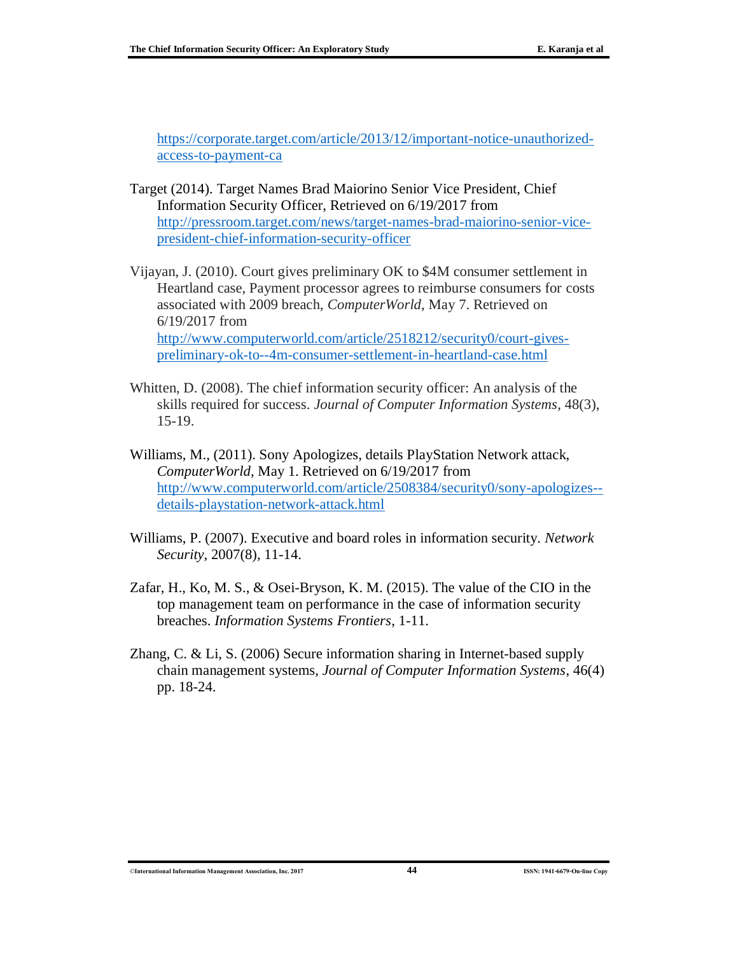[https://corporate.target.com/article/2013/12/important-notice-unauthorized](https://corporate.target.com/article/2013/12/important-notice-unauthorized-access-to-payment-ca)[access-to-payment-ca](https://corporate.target.com/article/2013/12/important-notice-unauthorized-access-to-payment-ca)

- Target (2014). Target Names Brad Maiorino Senior Vice President, Chief Information Security Officer, Retrieved on 6/19/2017 from [http://pressroom.target.com/news/target-names-brad-maiorino-senior-vice](http://pressroom.target.com/news/target-names-brad-maiorino-senior-vice-president-chief-information-security-officer)[president-chief-information-security-officer](http://pressroom.target.com/news/target-names-brad-maiorino-senior-vice-president-chief-information-security-officer)
- Vijayan, J. (2010). Court gives preliminary OK to \$4M consumer settlement in Heartland case, Payment processor agrees to reimburse consumers for costs associated with 2009 breach, *ComputerWorld*, May 7. Retrieved on 6/19/2017 from [http://www.computerworld.com/article/2518212/security0/court-gives](http://www.computerworld.com/article/2518212/security0/court-gives-preliminary-ok-to--4m-consumer-settlement-in-heartland-case.html)[preliminary-ok-to--4m-consumer-settlement-in-heartland-case.html](http://www.computerworld.com/article/2518212/security0/court-gives-preliminary-ok-to--4m-consumer-settlement-in-heartland-case.html)
- Whitten, D. (2008). The chief information security officer: An analysis of the skills required for success. *Journal of Computer Information Systems*, 48(3), 15-19.
- Williams, M., (2011). Sony Apologizes, details PlayStation Network attack, *ComputerWorld*, May 1. Retrieved on 6/19/2017 from [http://www.computerworld.com/article/2508384/security0/sony-apologizes-](http://www.computerworld.com/article/2508384/security0/sony-apologizes--details-playstation-network-attack.html) [details-playstation-network-attack.html](http://www.computerworld.com/article/2508384/security0/sony-apologizes--details-playstation-network-attack.html)
- Williams, P. (2007). Executive and board roles in information security. *Network Security*, 2007(8), 11-14.
- Zafar, H., Ko, M. S., & Osei-Bryson, K. M. (2015). The value of the CIO in the top management team on performance in the case of information security breaches. *Information Systems Frontiers*, 1-11.
- Zhang, C. & Li, S. (2006) Secure information sharing in Internet-based supply chain management systems, *Journal of Computer Information Systems*, 46(4) pp. 18-24.

©**International Information Management Association, Inc. 2017 44 ISSN: 1941-6679-On-line Copy**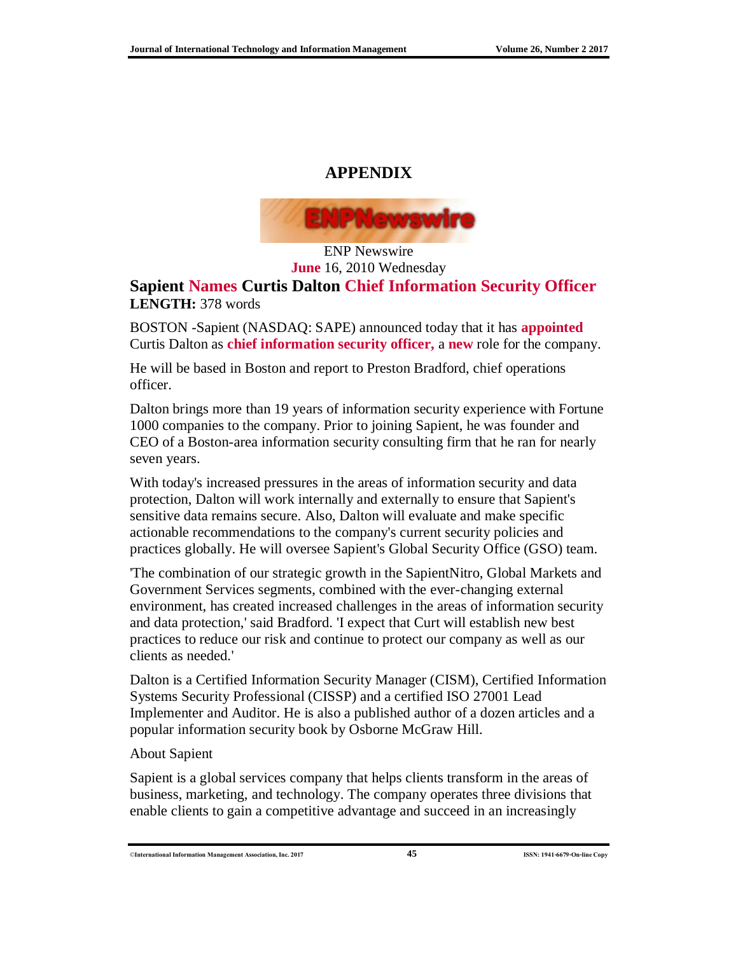### **APPENDIX**



ENP Newswire **June** 16, 2010 Wednesday

#### **Sapient Names Curtis Dalton Chief Information Security Officer LENGTH:** 378 words

BOSTON -Sapient (NASDAQ: SAPE) announced today that it has **appointed** Curtis Dalton as **chief information security officer,** a **new** role for the company.

He will be based in Boston and report to Preston Bradford, chief operations officer.

Dalton brings more than 19 years of information security experience with Fortune 1000 companies to the company. Prior to joining Sapient, he was founder and CEO of a Boston-area information security consulting firm that he ran for nearly seven years.

With today's increased pressures in the areas of information security and data protection, Dalton will work internally and externally to ensure that Sapient's sensitive data remains secure. Also, Dalton will evaluate and make specific actionable recommendations to the company's current security policies and practices globally. He will oversee Sapient's Global Security Office (GSO) team.

'The combination of our strategic growth in the SapientNitro, Global Markets and Government Services segments, combined with the ever-changing external environment, has created increased challenges in the areas of information security and data protection,' said Bradford. 'I expect that Curt will establish new best practices to reduce our risk and continue to protect our company as well as our clients as needed.'

Dalton is a Certified Information Security Manager (CISM), Certified Information Systems Security Professional (CISSP) and a certified ISO 27001 Lead Implementer and Auditor. He is also a published author of a dozen articles and a popular information security book by Osborne McGraw Hill.

#### About Sapient

Sapient is a global services company that helps clients transform in the areas of business, marketing, and technology. The company operates three divisions that enable clients to gain a competitive advantage and succeed in an increasingly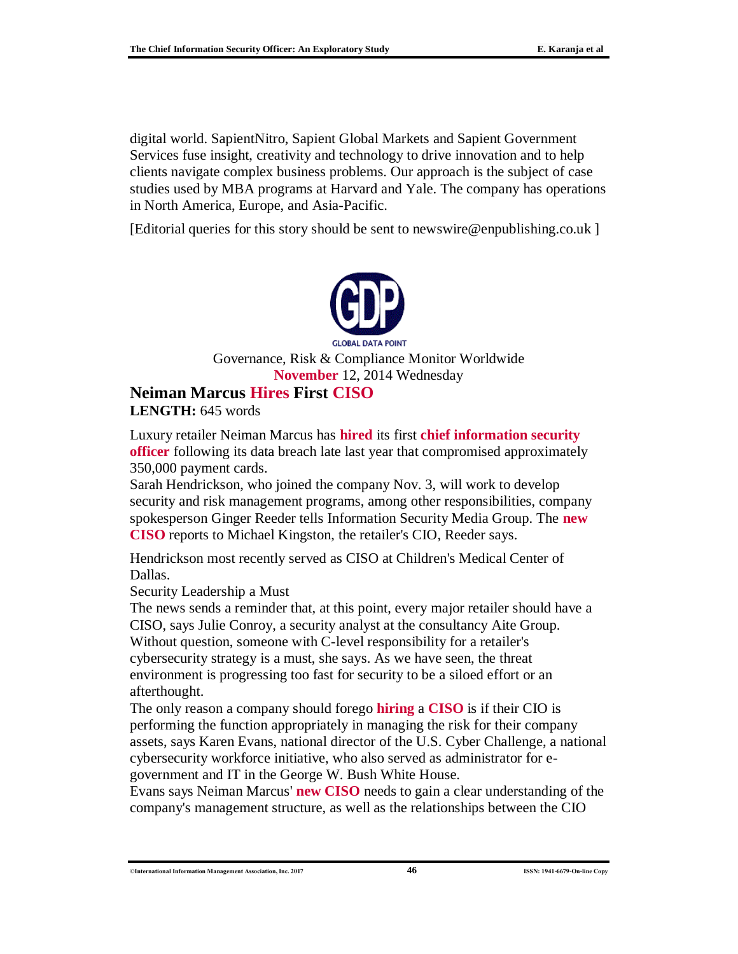digital world. SapientNitro, Sapient Global Markets and Sapient Government Services fuse insight, creativity and technology to drive innovation and to help clients navigate complex business problems. Our approach is the subject of case studies used by MBA programs at Harvard and Yale. The company has operations in North America, Europe, and Asia-Pacific.

[Editorial queries for this story should be sent to newswire@enpublishing.co.uk ]



Governance, Risk & Compliance Monitor Worldwide **November** 12, 2014 Wednesday

# **Neiman Marcus Hires First CISO**

**LENGTH:** 645 words

Luxury retailer Neiman Marcus has **hired** its first **chief information security officer** following its data breach late last year that compromised approximately 350,000 payment cards.

Sarah Hendrickson, who joined the company Nov. 3, will work to develop security and risk management programs, among other responsibilities, company spokesperson Ginger Reeder tells Information Security Media Group. The **new CISO** reports to Michael Kingston, the retailer's CIO, Reeder says.

Hendrickson most recently served as CISO at Children's Medical Center of Dallas.

Security Leadership a Must

The news sends a reminder that, at this point, every major retailer should have a CISO, says Julie Conroy, a security analyst at the consultancy Aite Group. Without question, someone with C-level responsibility for a retailer's cybersecurity strategy is a must, she says. As we have seen, the threat environment is progressing too fast for security to be a siloed effort or an afterthought.

The only reason a company should forego **hiring** a **CISO** is if their CIO is performing the function appropriately in managing the risk for their company assets, says Karen Evans, national director of the U.S. Cyber Challenge, a national cybersecurity workforce initiative, who also served as administrator for egovernment and IT in the George W. Bush White House.

Evans says Neiman Marcus' **new CISO** needs to gain a clear understanding of the company's management structure, as well as the relationships between the CIO

<sup>©</sup>**International Information Management Association, Inc. 2017 46 ISSN: 1941-6679-On-line Copy**